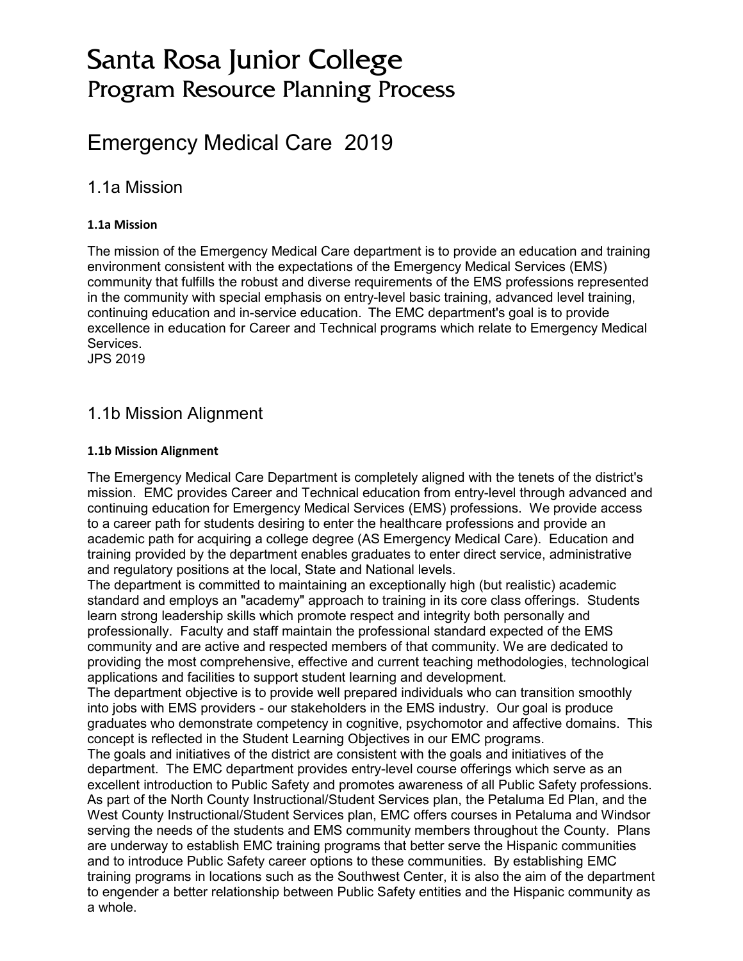# Santa Rosa Junior College Program Resource Planning Process

# Emergency Medical Care 2019

# 1.1a Mission

### **1.1a Mission**

The mission of the Emergency Medical Care department is to provide an education and training environment consistent with the expectations of the Emergency Medical Services (EMS) community that fulfills the robust and diverse requirements of the EMS professions represented in the community with special emphasis on entry-level basic training, advanced level training, continuing education and in-service education. The EMC department's goal is to provide excellence in education for Career and Technical programs which relate to Emergency Medical **Services** 

JPS 2019

# 1.1b Mission Alignment

### **1.1b Mission Alignment**

The Emergency Medical Care Department is completely aligned with the tenets of the district's mission. EMC provides Career and Technical education from entry-level through advanced and continuing education for Emergency Medical Services (EMS) professions. We provide access to a career path for students desiring to enter the healthcare professions and provide an academic path for acquiring a college degree (AS Emergency Medical Care). Education and training provided by the department enables graduates to enter direct service, administrative and regulatory positions at the local, State and National levels.

The department is committed to maintaining an exceptionally high (but realistic) academic standard and employs an "academy" approach to training in its core class offerings. Students learn strong leadership skills which promote respect and integrity both personally and professionally. Faculty and staff maintain the professional standard expected of the EMS community and are active and respected members of that community. We are dedicated to providing the most comprehensive, effective and current teaching methodologies, technological applications and facilities to support student learning and development.

The department objective is to provide well prepared individuals who can transition smoothly into jobs with EMS providers - our stakeholders in the EMS industry. Our goal is produce graduates who demonstrate competency in cognitive, psychomotor and affective domains. This concept is reflected in the Student Learning Objectives in our EMC programs.

The goals and initiatives of the district are consistent with the goals and initiatives of the department. The EMC department provides entry-level course offerings which serve as an excellent introduction to Public Safety and promotes awareness of all Public Safety professions. As part of the North County Instructional/Student Services plan, the Petaluma Ed Plan, and the West County Instructional/Student Services plan, EMC offers courses in Petaluma and Windsor serving the needs of the students and EMS community members throughout the County. Plans are underway to establish EMC training programs that better serve the Hispanic communities and to introduce Public Safety career options to these communities. By establishing EMC training programs in locations such as the Southwest Center, it is also the aim of the department to engender a better relationship between Public Safety entities and the Hispanic community as a whole.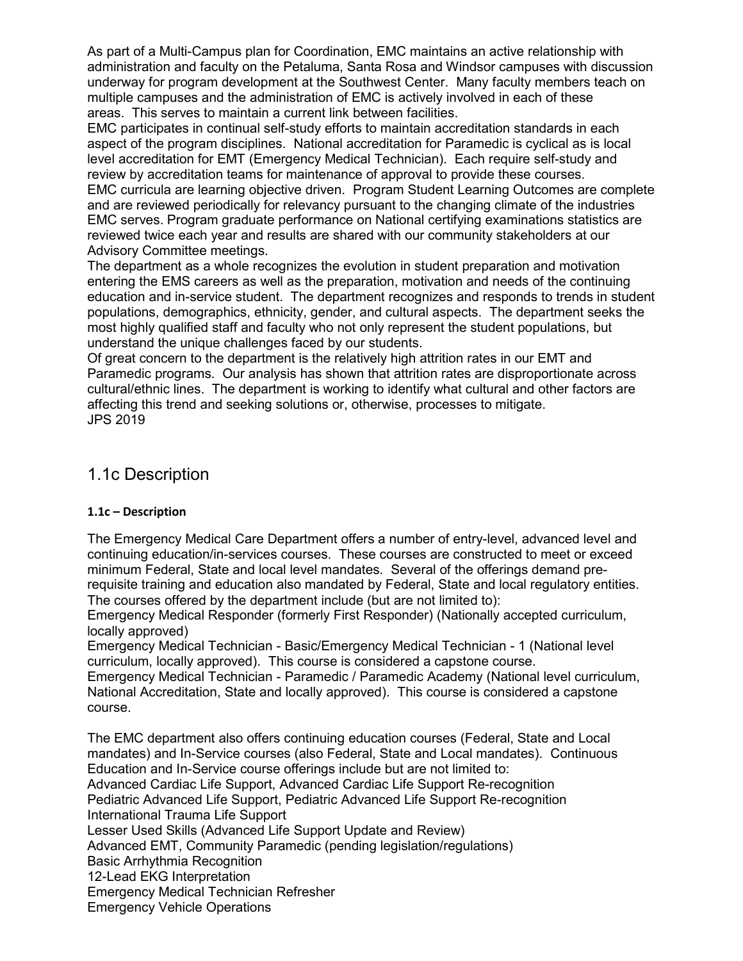As part of a Multi-Campus plan for Coordination, EMC maintains an active relationship with administration and faculty on the Petaluma, Santa Rosa and Windsor campuses with discussion underway for program development at the Southwest Center. Many faculty members teach on multiple campuses and the administration of EMC is actively involved in each of these areas. This serves to maintain a current link between facilities.

EMC participates in continual self-study efforts to maintain accreditation standards in each aspect of the program disciplines. National accreditation for Paramedic is cyclical as is local level accreditation for EMT (Emergency Medical Technician). Each require self-study and review by accreditation teams for maintenance of approval to provide these courses. EMC curricula are learning objective driven. Program Student Learning Outcomes are complete and are reviewed periodically for relevancy pursuant to the changing climate of the industries EMC serves. Program graduate performance on National certifying examinations statistics are reviewed twice each year and results are shared with our community stakeholders at our Advisory Committee meetings.

The department as a whole recognizes the evolution in student preparation and motivation entering the EMS careers as well as the preparation, motivation and needs of the continuing education and in-service student. The department recognizes and responds to trends in student populations, demographics, ethnicity, gender, and cultural aspects. The department seeks the most highly qualified staff and faculty who not only represent the student populations, but understand the unique challenges faced by our students.

Of great concern to the department is the relatively high attrition rates in our EMT and Paramedic programs. Our analysis has shown that attrition rates are disproportionate across cultural/ethnic lines. The department is working to identify what cultural and other factors are affecting this trend and seeking solutions or, otherwise, processes to mitigate. JPS 2019

# 1.1c Description

# **1.1c – Description**

The Emergency Medical Care Department offers a number of entry-level, advanced level and continuing education/in-services courses. These courses are constructed to meet or exceed minimum Federal, State and local level mandates. Several of the offerings demand prerequisite training and education also mandated by Federal, State and local regulatory entities. The courses offered by the department include (but are not limited to):

Emergency Medical Responder (formerly First Responder) (Nationally accepted curriculum, locally approved)

Emergency Medical Technician - Basic/Emergency Medical Technician - 1 (National level curriculum, locally approved). This course is considered a capstone course.

Emergency Medical Technician - Paramedic / Paramedic Academy (National level curriculum, National Accreditation, State and locally approved). This course is considered a capstone course.

The EMC department also offers continuing education courses (Federal, State and Local mandates) and In-Service courses (also Federal, State and Local mandates). Continuous Education and In-Service course offerings include but are not limited to: Advanced Cardiac Life Support, Advanced Cardiac Life Support Re-recognition Pediatric Advanced Life Support, Pediatric Advanced Life Support Re-recognition International Trauma Life Support Lesser Used Skills (Advanced Life Support Update and Review) Advanced EMT, Community Paramedic (pending legislation/regulations) Basic Arrhythmia Recognition 12-Lead EKG Interpretation Emergency Medical Technician Refresher Emergency Vehicle Operations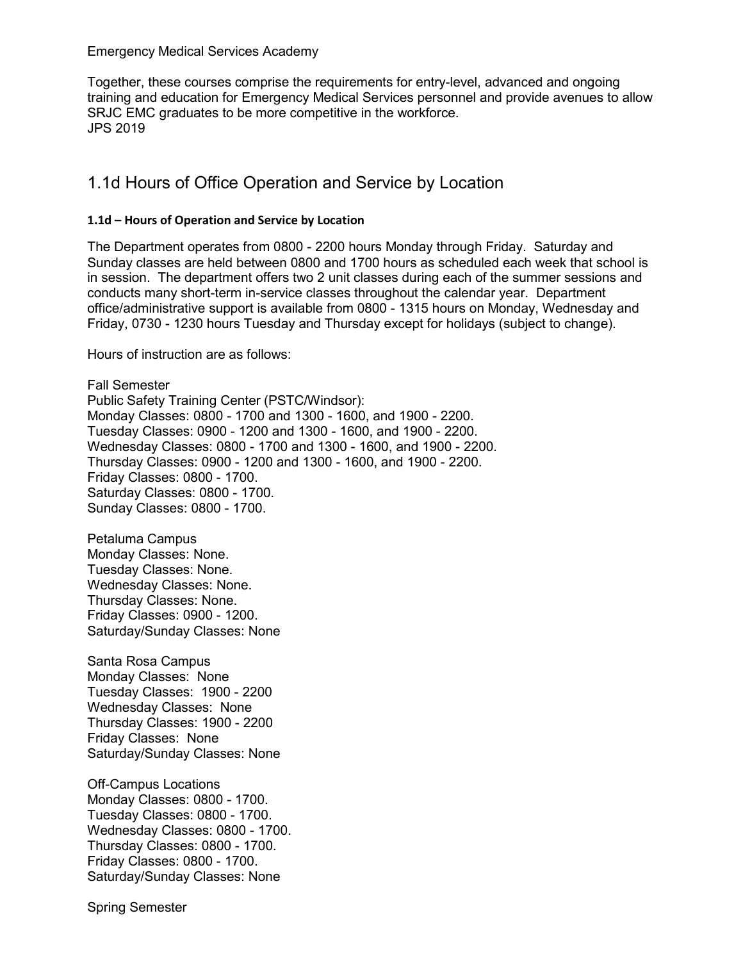Emergency Medical Services Academy

Together, these courses comprise the requirements for entry-level, advanced and ongoing training and education for Emergency Medical Services personnel and provide avenues to allow SRJC EMC graduates to be more competitive in the workforce. JPS 2019

# 1.1d Hours of Office Operation and Service by Location

### **1.1d – Hours of Operation and Service by Location**

The Department operates from 0800 - 2200 hours Monday through Friday. Saturday and Sunday classes are held between 0800 and 1700 hours as scheduled each week that school is in session. The department offers two 2 unit classes during each of the summer sessions and conducts many short-term in-service classes throughout the calendar year. Department office/administrative support is available from 0800 - 1315 hours on Monday, Wednesday and Friday, 0730 - 1230 hours Tuesday and Thursday except for holidays (subject to change).

Hours of instruction are as follows:

Fall Semester Public Safety Training Center (PSTC/Windsor): Monday Classes: 0800 - 1700 and 1300 - 1600, and 1900 - 2200. Tuesday Classes: 0900 - 1200 and 1300 - 1600, and 1900 - 2200. Wednesday Classes: 0800 - 1700 and 1300 - 1600, and 1900 - 2200. Thursday Classes: 0900 - 1200 and 1300 - 1600, and 1900 - 2200. Friday Classes: 0800 - 1700. Saturday Classes: 0800 - 1700. Sunday Classes: 0800 - 1700.

Petaluma Campus Monday Classes: None. Tuesday Classes: None. Wednesday Classes: None. Thursday Classes: None. Friday Classes: 0900 - 1200. Saturday/Sunday Classes: None

Santa Rosa Campus Monday Classes: None Tuesday Classes: 1900 - 2200 Wednesday Classes: None Thursday Classes: 1900 - 2200 Friday Classes: None Saturday/Sunday Classes: None

Off-Campus Locations Monday Classes: 0800 - 1700. Tuesday Classes: 0800 - 1700. Wednesday Classes: 0800 - 1700. Thursday Classes: 0800 - 1700. Friday Classes: 0800 - 1700. Saturday/Sunday Classes: None

Spring Semester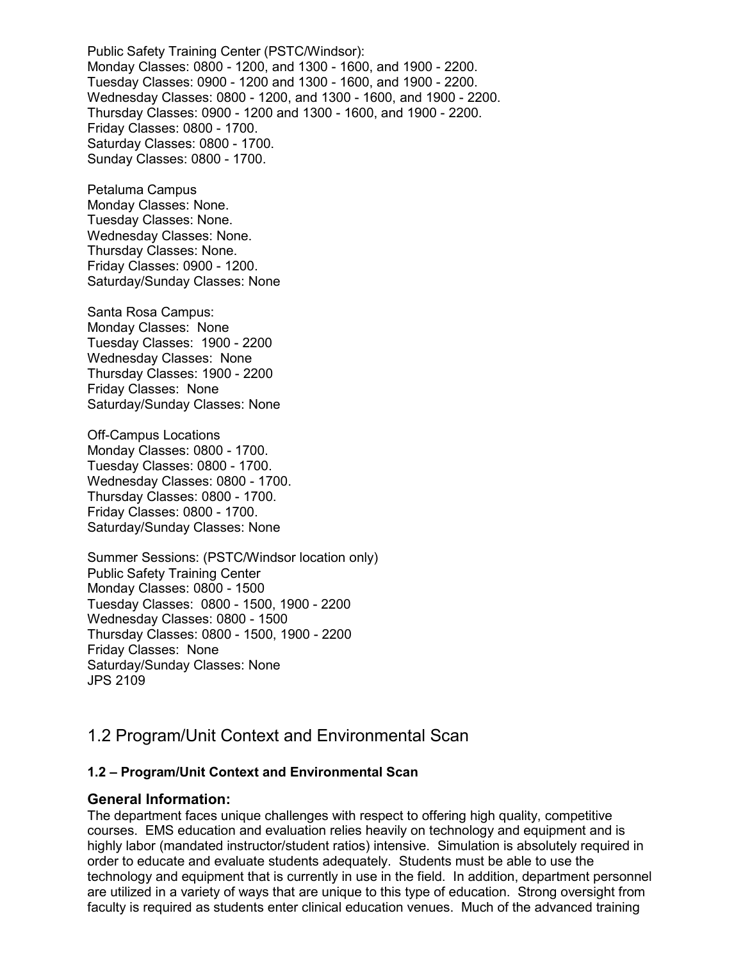Public Safety Training Center (PSTC/Windsor): Monday Classes: 0800 - 1200, and 1300 - 1600, and 1900 - 2200. Tuesday Classes: 0900 - 1200 and 1300 - 1600, and 1900 - 2200. Wednesday Classes: 0800 - 1200, and 1300 - 1600, and 1900 - 2200. Thursday Classes: 0900 - 1200 and 1300 - 1600, and 1900 - 2200. Friday Classes: 0800 - 1700. Saturday Classes: 0800 - 1700. Sunday Classes: 0800 - 1700.

Petaluma Campus Monday Classes: None. Tuesday Classes: None. Wednesday Classes: None. Thursday Classes: None. Friday Classes: 0900 - 1200. Saturday/Sunday Classes: None

Santa Rosa Campus: Monday Classes: None Tuesday Classes: 1900 - 2200 Wednesday Classes: None Thursday Classes: 1900 - 2200 Friday Classes: None Saturday/Sunday Classes: None

Off-Campus Locations Monday Classes: 0800 - 1700. Tuesday Classes: 0800 - 1700. Wednesday Classes: 0800 - 1700. Thursday Classes: 0800 - 1700. Friday Classes: 0800 - 1700. Saturday/Sunday Classes: None

Summer Sessions: (PSTC/Windsor location only) Public Safety Training Center Monday Classes: 0800 - 1500 Tuesday Classes: 0800 - 1500, 1900 - 2200 Wednesday Classes: 0800 - 1500 Thursday Classes: 0800 - 1500, 1900 - 2200 Friday Classes: None Saturday/Sunday Classes: None JPS 2109

# 1.2 Program/Unit Context and Environmental Scan

### **1.2 – Program/Unit Context and Environmental Scan**

### **General Information:**

The department faces unique challenges with respect to offering high quality, competitive courses. EMS education and evaluation relies heavily on technology and equipment and is highly labor (mandated instructor/student ratios) intensive. Simulation is absolutely required in order to educate and evaluate students adequately. Students must be able to use the technology and equipment that is currently in use in the field. In addition, department personnel are utilized in a variety of ways that are unique to this type of education. Strong oversight from faculty is required as students enter clinical education venues. Much of the advanced training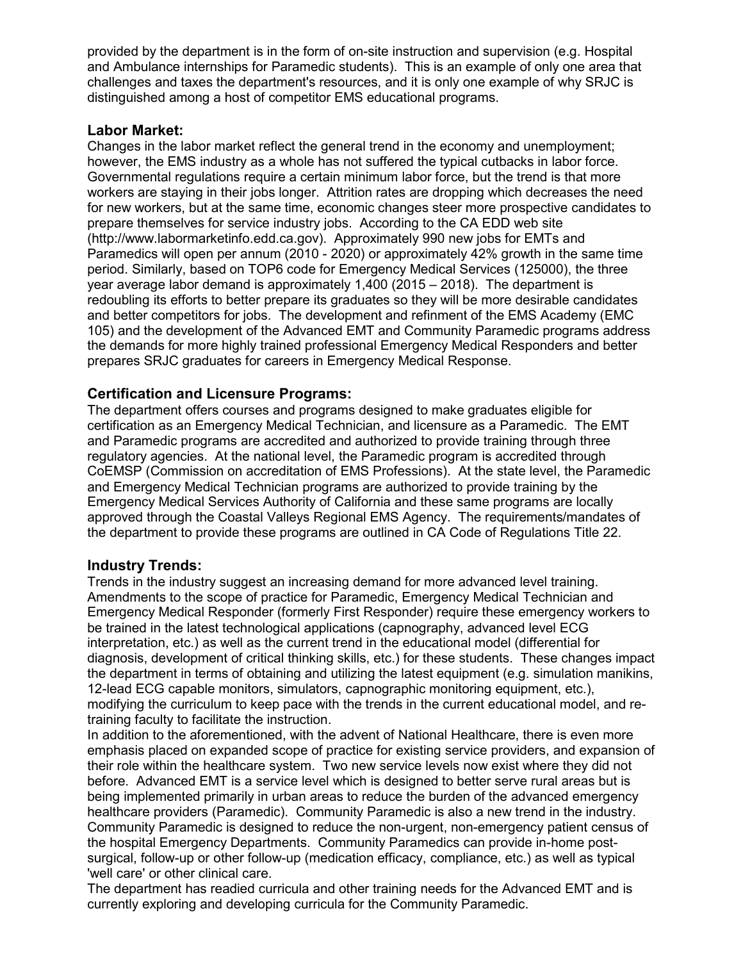provided by the department is in the form of on-site instruction and supervision (e.g. Hospital and Ambulance internships for Paramedic students). This is an example of only one area that challenges and taxes the department's resources, and it is only one example of why SRJC is distinguished among a host of competitor EMS educational programs.

### **Labor Market:**

Changes in the labor market reflect the general trend in the economy and unemployment; however, the EMS industry as a whole has not suffered the typical cutbacks in labor force. Governmental regulations require a certain minimum labor force, but the trend is that more workers are staying in their jobs longer. Attrition rates are dropping which decreases the need for new workers, but at the same time, economic changes steer more prospective candidates to prepare themselves for service industry jobs. According to the CA EDD web site (http://www.labormarketinfo.edd.ca.gov). Approximately 990 new jobs for EMTs and Paramedics will open per annum (2010 - 2020) or approximately 42% growth in the same time period. Similarly, based on TOP6 code for Emergency Medical Services (125000), the three year average labor demand is approximately 1,400 (2015 – 2018). The department is redoubling its efforts to better prepare its graduates so they will be more desirable candidates and better competitors for jobs. The development and refinment of the EMS Academy (EMC 105) and the development of the Advanced EMT and Community Paramedic programs address the demands for more highly trained professional Emergency Medical Responders and better prepares SRJC graduates for careers in Emergency Medical Response.

# **Certification and Licensure Programs:**

The department offers courses and programs designed to make graduates eligible for certification as an Emergency Medical Technician, and licensure as a Paramedic. The EMT and Paramedic programs are accredited and authorized to provide training through three regulatory agencies. At the national level, the Paramedic program is accredited through CoEMSP (Commission on accreditation of EMS Professions). At the state level, the Paramedic and Emergency Medical Technician programs are authorized to provide training by the Emergency Medical Services Authority of California and these same programs are locally approved through the Coastal Valleys Regional EMS Agency. The requirements/mandates of the department to provide these programs are outlined in CA Code of Regulations Title 22.

# **Industry Trends:**

Trends in the industry suggest an increasing demand for more advanced level training. Amendments to the scope of practice for Paramedic, Emergency Medical Technician and Emergency Medical Responder (formerly First Responder) require these emergency workers to be trained in the latest technological applications (capnography, advanced level ECG interpretation, etc.) as well as the current trend in the educational model (differential for diagnosis, development of critical thinking skills, etc.) for these students. These changes impact the department in terms of obtaining and utilizing the latest equipment (e.g. simulation manikins, 12-lead ECG capable monitors, simulators, capnographic monitoring equipment, etc.), modifying the curriculum to keep pace with the trends in the current educational model, and retraining faculty to facilitate the instruction.

In addition to the aforementioned, with the advent of National Healthcare, there is even more emphasis placed on expanded scope of practice for existing service providers, and expansion of their role within the healthcare system. Two new service levels now exist where they did not before. Advanced EMT is a service level which is designed to better serve rural areas but is being implemented primarily in urban areas to reduce the burden of the advanced emergency healthcare providers (Paramedic). Community Paramedic is also a new trend in the industry. Community Paramedic is designed to reduce the non-urgent, non-emergency patient census of the hospital Emergency Departments. Community Paramedics can provide in-home postsurgical, follow-up or other follow-up (medication efficacy, compliance, etc.) as well as typical 'well care' or other clinical care.

The department has readied curricula and other training needs for the Advanced EMT and is currently exploring and developing curricula for the Community Paramedic.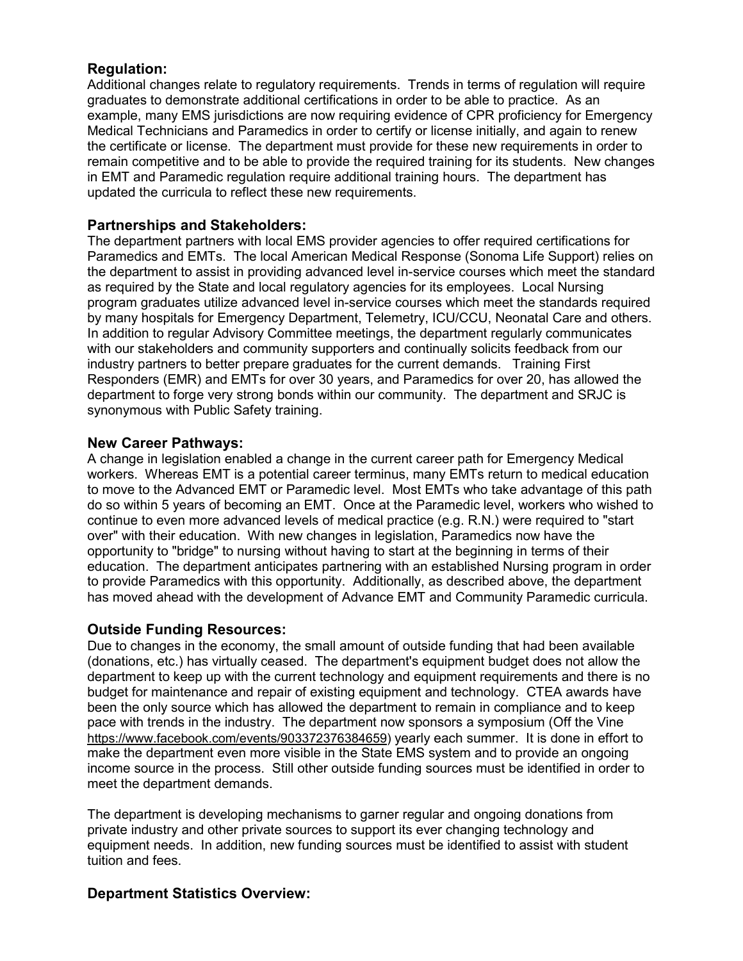# **Regulation:**

Additional changes relate to regulatory requirements. Trends in terms of regulation will require graduates to demonstrate additional certifications in order to be able to practice. As an example, many EMS jurisdictions are now requiring evidence of CPR proficiency for Emergency Medical Technicians and Paramedics in order to certify or license initially, and again to renew the certificate or license. The department must provide for these new requirements in order to remain competitive and to be able to provide the required training for its students. New changes in EMT and Paramedic regulation require additional training hours. The department has updated the curricula to reflect these new requirements.

### **Partnerships and Stakeholders:**

The department partners with local EMS provider agencies to offer required certifications for Paramedics and EMTs. The local American Medical Response (Sonoma Life Support) relies on the department to assist in providing advanced level in-service courses which meet the standard as required by the State and local regulatory agencies for its employees. Local Nursing program graduates utilize advanced level in-service courses which meet the standards required by many hospitals for Emergency Department, Telemetry, ICU/CCU, Neonatal Care and others. In addition to regular Advisory Committee meetings, the department regularly communicates with our stakeholders and community supporters and continually solicits feedback from our industry partners to better prepare graduates for the current demands. Training First Responders (EMR) and EMTs for over 30 years, and Paramedics for over 20, has allowed the department to forge very strong bonds within our community. The department and SRJC is synonymous with Public Safety training.

### **New Career Pathways:**

A change in legislation enabled a change in the current career path for Emergency Medical workers. Whereas EMT is a potential career terminus, many EMTs return to medical education to move to the Advanced EMT or Paramedic level. Most EMTs who take advantage of this path do so within 5 years of becoming an EMT. Once at the Paramedic level, workers who wished to continue to even more advanced levels of medical practice (e.g. R.N.) were required to "start over" with their education. With new changes in legislation, Paramedics now have the opportunity to "bridge" to nursing without having to start at the beginning in terms of their education. The department anticipates partnering with an established Nursing program in order to provide Paramedics with this opportunity. Additionally, as described above, the department has moved ahead with the development of Advance EMT and Community Paramedic curricula.

# **Outside Funding Resources:**

Due to changes in the economy, the small amount of outside funding that had been available (donations, etc.) has virtually ceased. The department's equipment budget does not allow the department to keep up with the current technology and equipment requirements and there is no budget for maintenance and repair of existing equipment and technology. CTEA awards have been the only source which has allowed the department to remain in compliance and to keep pace with trends in the industry. The department now sponsors a symposium (Off the Vine [https://www.facebook.com/events/903372376384659\)](https://www.facebook.com/events/903372376384659) yearly each summer. It is done in effort to make the department even more visible in the State EMS system and to provide an ongoing income source in the process. Still other outside funding sources must be identified in order to meet the department demands.

The department is developing mechanisms to garner regular and ongoing donations from private industry and other private sources to support its ever changing technology and equipment needs. In addition, new funding sources must be identified to assist with student tuition and fees.

# **Department Statistics Overview:**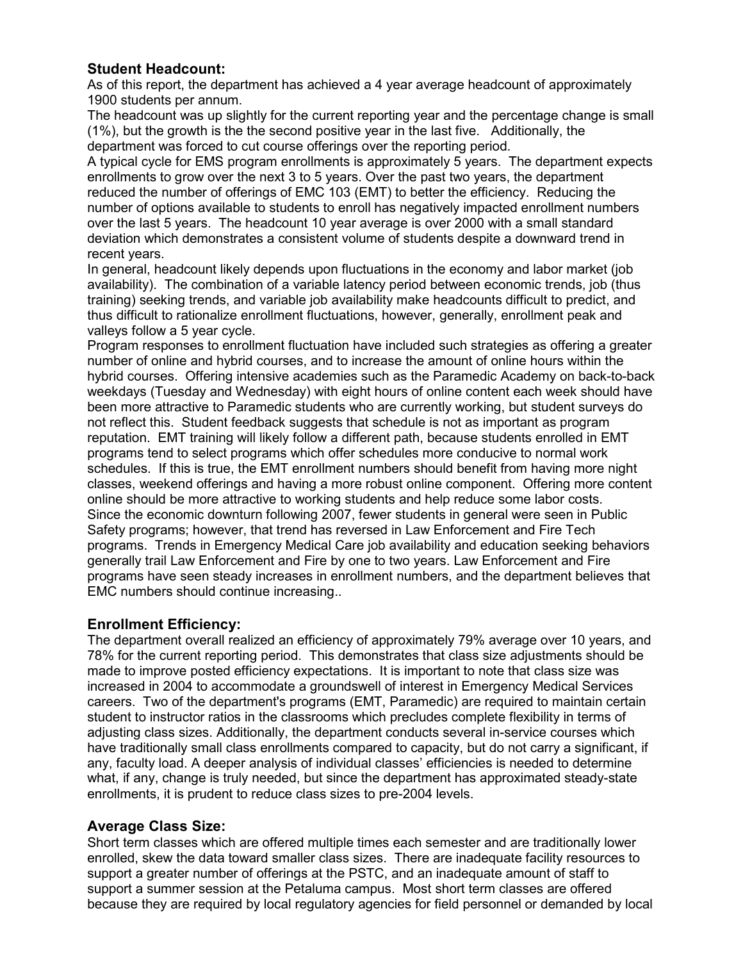# **Student Headcount:**

As of this report, the department has achieved a 4 year average headcount of approximately 1900 students per annum.

The headcount was up slightly for the current reporting year and the percentage change is small (1%), but the growth is the the second positive year in the last five. Additionally, the department was forced to cut course offerings over the reporting period.

A typical cycle for EMS program enrollments is approximately 5 years. The department expects enrollments to grow over the next 3 to 5 years. Over the past two years, the department reduced the number of offerings of EMC 103 (EMT) to better the efficiency. Reducing the number of options available to students to enroll has negatively impacted enrollment numbers over the last 5 years. The headcount 10 year average is over 2000 with a small standard deviation which demonstrates a consistent volume of students despite a downward trend in recent years.

In general, headcount likely depends upon fluctuations in the economy and labor market (job availability). The combination of a variable latency period between economic trends, job (thus training) seeking trends, and variable job availability make headcounts difficult to predict, and thus difficult to rationalize enrollment fluctuations, however, generally, enrollment peak and valleys follow a 5 year cycle.

Program responses to enrollment fluctuation have included such strategies as offering a greater number of online and hybrid courses, and to increase the amount of online hours within the hybrid courses. Offering intensive academies such as the Paramedic Academy on back-to-back weekdays (Tuesday and Wednesday) with eight hours of online content each week should have been more attractive to Paramedic students who are currently working, but student surveys do not reflect this. Student feedback suggests that schedule is not as important as program reputation. EMT training will likely follow a different path, because students enrolled in EMT programs tend to select programs which offer schedules more conducive to normal work schedules. If this is true, the EMT enrollment numbers should benefit from having more night classes, weekend offerings and having a more robust online component. Offering more content online should be more attractive to working students and help reduce some labor costs. Since the economic downturn following 2007, fewer students in general were seen in Public Safety programs; however, that trend has reversed in Law Enforcement and Fire Tech programs. Trends in Emergency Medical Care job availability and education seeking behaviors generally trail Law Enforcement and Fire by one to two years. Law Enforcement and Fire programs have seen steady increases in enrollment numbers, and the department believes that EMC numbers should continue increasing..

# **Enrollment Efficiency:**

The department overall realized an efficiency of approximately 79% average over 10 years, and 78% for the current reporting period. This demonstrates that class size adjustments should be made to improve posted efficiency expectations. It is important to note that class size was increased in 2004 to accommodate a groundswell of interest in Emergency Medical Services careers. Two of the department's programs (EMT, Paramedic) are required to maintain certain student to instructor ratios in the classrooms which precludes complete flexibility in terms of adjusting class sizes. Additionally, the department conducts several in-service courses which have traditionally small class enrollments compared to capacity, but do not carry a significant, if any, faculty load. A deeper analysis of individual classes' efficiencies is needed to determine what, if any, change is truly needed, but since the department has approximated steady-state enrollments, it is prudent to reduce class sizes to pre-2004 levels.

### **Average Class Size:**

Short term classes which are offered multiple times each semester and are traditionally lower enrolled, skew the data toward smaller class sizes. There are inadequate facility resources to support a greater number of offerings at the PSTC, and an inadequate amount of staff to support a summer session at the Petaluma campus. Most short term classes are offered because they are required by local regulatory agencies for field personnel or demanded by local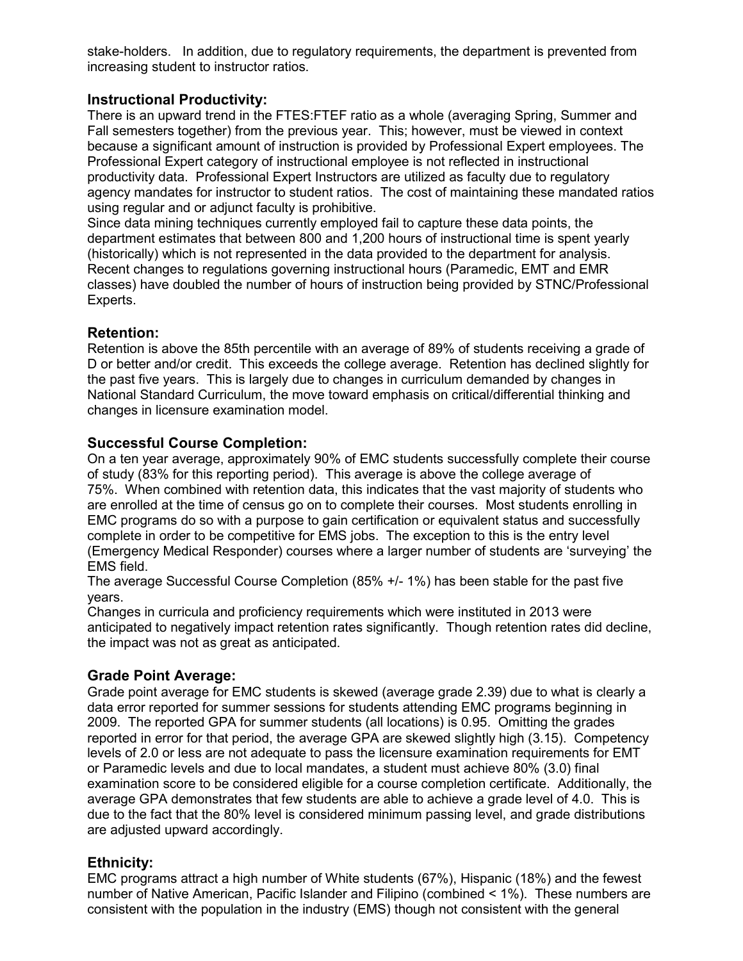stake-holders. In addition, due to regulatory requirements, the department is prevented from increasing student to instructor ratios.

# **Instructional Productivity:**

There is an upward trend in the FTES:FTEF ratio as a whole (averaging Spring, Summer and Fall semesters together) from the previous year. This; however, must be viewed in context because a significant amount of instruction is provided by Professional Expert employees. The Professional Expert category of instructional employee is not reflected in instructional productivity data. Professional Expert Instructors are utilized as faculty due to regulatory agency mandates for instructor to student ratios. The cost of maintaining these mandated ratios using regular and or adjunct faculty is prohibitive.

Since data mining techniques currently employed fail to capture these data points, the department estimates that between 800 and 1,200 hours of instructional time is spent yearly (historically) which is not represented in the data provided to the department for analysis. Recent changes to regulations governing instructional hours (Paramedic, EMT and EMR classes) have doubled the number of hours of instruction being provided by STNC/Professional Experts.

# **Retention:**

Retention is above the 85th percentile with an average of 89% of students receiving a grade of D or better and/or credit. This exceeds the college average. Retention has declined slightly for the past five years. This is largely due to changes in curriculum demanded by changes in National Standard Curriculum, the move toward emphasis on critical/differential thinking and changes in licensure examination model.

# **Successful Course Completion:**

On a ten year average, approximately 90% of EMC students successfully complete their course of study (83% for this reporting period). This average is above the college average of 75%. When combined with retention data, this indicates that the vast majority of students who are enrolled at the time of census go on to complete their courses. Most students enrolling in EMC programs do so with a purpose to gain certification or equivalent status and successfully complete in order to be competitive for EMS jobs. The exception to this is the entry level (Emergency Medical Responder) courses where a larger number of students are 'surveying' the EMS field.

The average Successful Course Completion (85% +/- 1%) has been stable for the past five years.

Changes in curricula and proficiency requirements which were instituted in 2013 were anticipated to negatively impact retention rates significantly. Though retention rates did decline, the impact was not as great as anticipated.

# **Grade Point Average:**

Grade point average for EMC students is skewed (average grade 2.39) due to what is clearly a data error reported for summer sessions for students attending EMC programs beginning in 2009. The reported GPA for summer students (all locations) is 0.95. Omitting the grades reported in error for that period, the average GPA are skewed slightly high (3.15). Competency levels of 2.0 or less are not adequate to pass the licensure examination requirements for EMT or Paramedic levels and due to local mandates, a student must achieve 80% (3.0) final examination score to be considered eligible for a course completion certificate. Additionally, the average GPA demonstrates that few students are able to achieve a grade level of 4.0. This is due to the fact that the 80% level is considered minimum passing level, and grade distributions are adjusted upward accordingly.

# **Ethnicity:**

EMC programs attract a high number of White students (67%), Hispanic (18%) and the fewest number of Native American, Pacific Islander and Filipino (combined < 1%). These numbers are consistent with the population in the industry (EMS) though not consistent with the general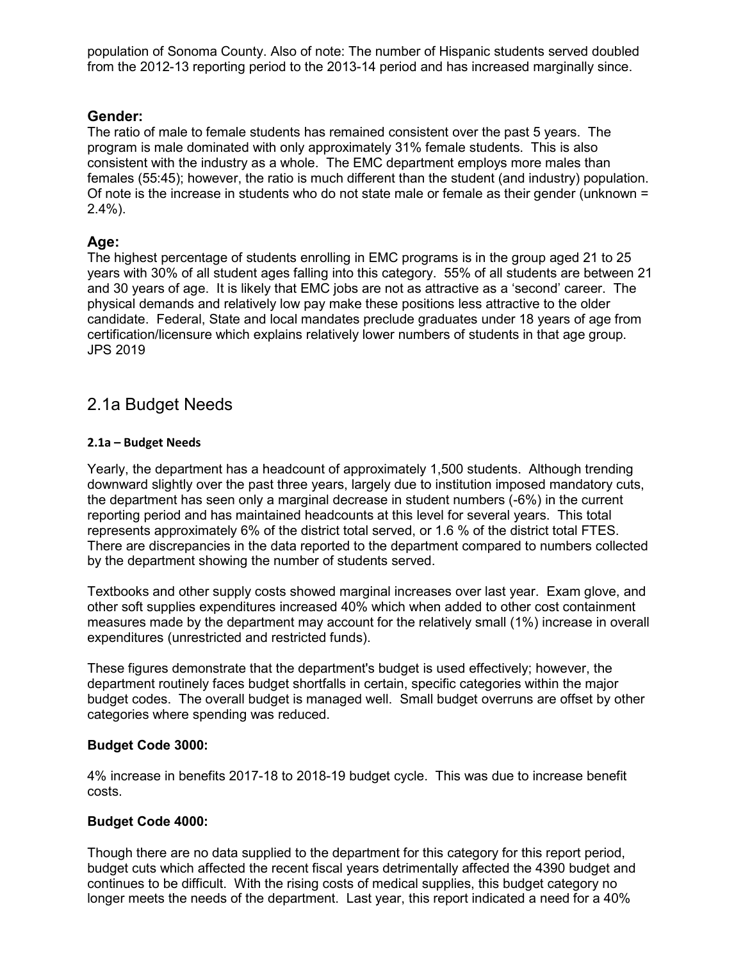population of Sonoma County. Also of note: The number of Hispanic students served doubled from the 2012-13 reporting period to the 2013-14 period and has increased marginally since.

# **Gender:**

The ratio of male to female students has remained consistent over the past 5 years. The program is male dominated with only approximately 31% female students. This is also consistent with the industry as a whole. The EMC department employs more males than females (55:45); however, the ratio is much different than the student (and industry) population. Of note is the increase in students who do not state male or female as their gender (unknown = 2.4%).

### **Age:**

The highest percentage of students enrolling in EMC programs is in the group aged 21 to 25 years with 30% of all student ages falling into this category. 55% of all students are between 21 and 30 years of age. It is likely that EMC jobs are not as attractive as a 'second' career. The physical demands and relatively low pay make these positions less attractive to the older candidate. Federal, State and local mandates preclude graduates under 18 years of age from certification/licensure which explains relatively lower numbers of students in that age group. JPS 2019

# 2.1a Budget Needs

### **2.1a – Budget Needs**

Yearly, the department has a headcount of approximately 1,500 students. Although trending downward slightly over the past three years, largely due to institution imposed mandatory cuts, the department has seen only a marginal decrease in student numbers (-6%) in the current reporting period and has maintained headcounts at this level for several years. This total represents approximately 6% of the district total served, or 1.6 % of the district total FTES. There are discrepancies in the data reported to the department compared to numbers collected by the department showing the number of students served.

Textbooks and other supply costs showed marginal increases over last year. Exam glove, and other soft supplies expenditures increased 40% which when added to other cost containment measures made by the department may account for the relatively small (1%) increase in overall expenditures (unrestricted and restricted funds).

These figures demonstrate that the department's budget is used effectively; however, the department routinely faces budget shortfalls in certain, specific categories within the major budget codes. The overall budget is managed well. Small budget overruns are offset by other categories where spending was reduced.

### **Budget Code 3000:**

4% increase in benefits 2017-18 to 2018-19 budget cycle. This was due to increase benefit costs.

### **Budget Code 4000:**

Though there are no data supplied to the department for this category for this report period, budget cuts which affected the recent fiscal years detrimentally affected the 4390 budget and continues to be difficult. With the rising costs of medical supplies, this budget category no longer meets the needs of the department. Last year, this report indicated a need for a 40%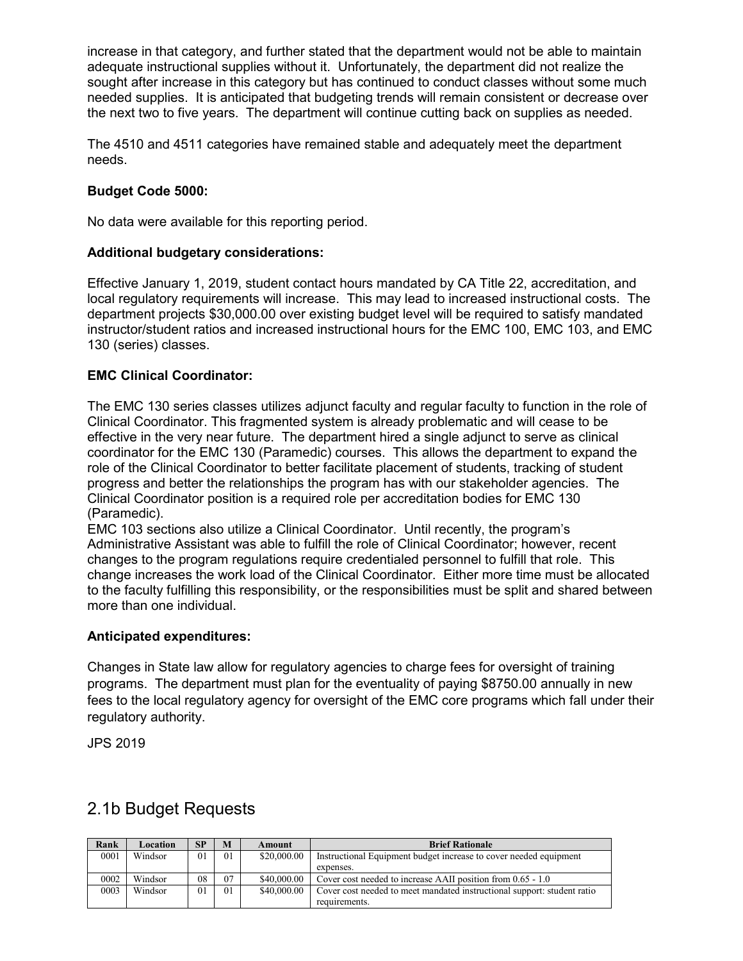increase in that category, and further stated that the department would not be able to maintain adequate instructional supplies without it. Unfortunately, the department did not realize the sought after increase in this category but has continued to conduct classes without some much needed supplies. It is anticipated that budgeting trends will remain consistent or decrease over the next two to five years. The department will continue cutting back on supplies as needed.

The 4510 and 4511 categories have remained stable and adequately meet the department needs.

### **Budget Code 5000:**

No data were available for this reporting period.

### **Additional budgetary considerations:**

Effective January 1, 2019, student contact hours mandated by CA Title 22, accreditation, and local regulatory requirements will increase. This may lead to increased instructional costs. The department projects \$30,000.00 over existing budget level will be required to satisfy mandated instructor/student ratios and increased instructional hours for the EMC 100, EMC 103, and EMC 130 (series) classes.

### **EMC Clinical Coordinator:**

The EMC 130 series classes utilizes adjunct faculty and regular faculty to function in the role of Clinical Coordinator. This fragmented system is already problematic and will cease to be effective in the very near future. The department hired a single adjunct to serve as clinical coordinator for the EMC 130 (Paramedic) courses. This allows the department to expand the role of the Clinical Coordinator to better facilitate placement of students, tracking of student progress and better the relationships the program has with our stakeholder agencies. The Clinical Coordinator position is a required role per accreditation bodies for EMC 130 (Paramedic).

EMC 103 sections also utilize a Clinical Coordinator. Until recently, the program's Administrative Assistant was able to fulfill the role of Clinical Coordinator; however, recent changes to the program regulations require credentialed personnel to fulfill that role. This change increases the work load of the Clinical Coordinator. Either more time must be allocated to the faculty fulfilling this responsibility, or the responsibilities must be split and shared between more than one individual.

### **Anticipated expenditures:**

Changes in State law allow for regulatory agencies to charge fees for oversight of training programs. The department must plan for the eventuality of paying \$8750.00 annually in new fees to the local regulatory agency for oversight of the EMC core programs which fall under their regulatory authority.

JPS 2019

| Rank | Location | <b>SP</b> | M              | Amount      | <b>Brief Rationale</b>                                                  |
|------|----------|-----------|----------------|-------------|-------------------------------------------------------------------------|
| 0001 | Windsor  | $\Omega$  | 0 <sub>1</sub> | \$20,000.00 | Instructional Equipment budget increase to cover needed equipment       |
|      |          |           |                |             | expenses.                                                               |
| 0002 | Windsor  | 08        | 07             | \$40,000.00 | Cover cost needed to increase AAII position from 0.65 - 1.0             |
| 0003 | Windsor  | $\Omega$  | 0 <sub>1</sub> | \$40,000.00 | Cover cost needed to meet mandated instructional support: student ratio |
|      |          |           |                |             | requirements.                                                           |

# 2.1b Budget Requests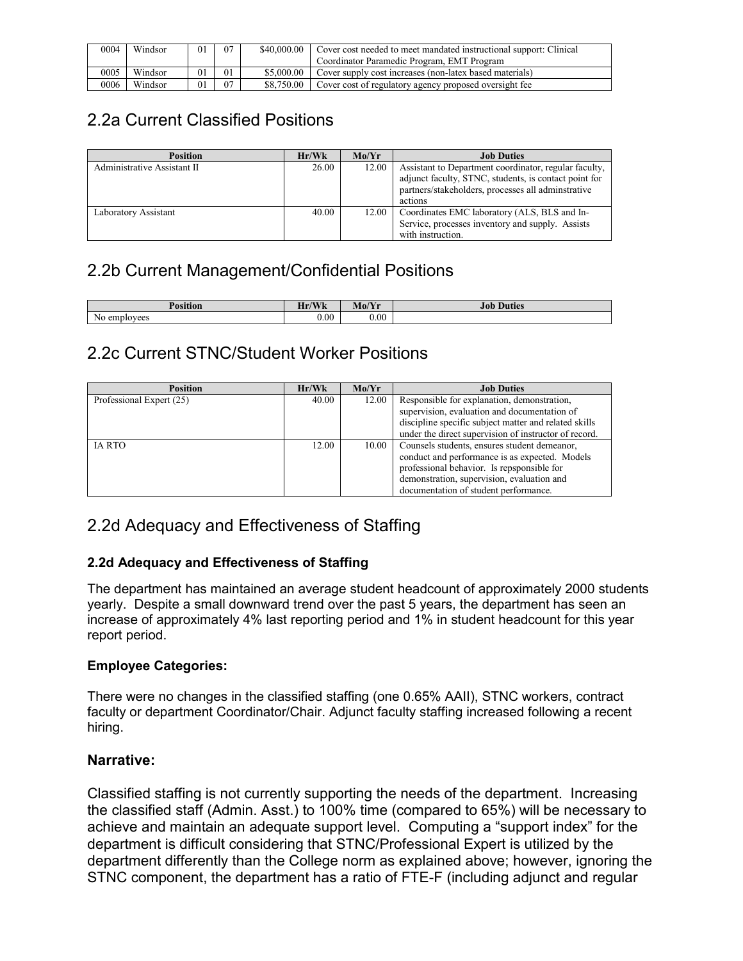| 0004 | Windsor | 0 <sub>1</sub> | 07 | \$40,000,00 | Cover cost needed to meet mandated instructional support: Clinical<br>Coordinator Paramedic Program, EMT Program |
|------|---------|----------------|----|-------------|------------------------------------------------------------------------------------------------------------------|
| 0005 | Windsor | 01             | 01 | \$5,000.00  | Cover supply cost increases (non-latex based materials)                                                          |
| 0006 | Windsor | $^{01}$        | 07 | \$8,750,00  | Cover cost of regulatory agency proposed oversight fee                                                           |

# 2.2a Current Classified Positions

| <b>Position</b>             | Hr/Wk | Mo/Yr | <b>Job Duties</b>                                                                                                                                                               |
|-----------------------------|-------|-------|---------------------------------------------------------------------------------------------------------------------------------------------------------------------------------|
| Administrative Assistant II | 26.00 | 12.00 | Assistant to Department coordinator, regular faculty,<br>adjunct faculty, STNC, students, is contact point for<br>partners/stakeholders, processes all adminstrative<br>actions |
| Laboratory Assistant        | 40.00 | 12.00 | Coordinates EMC laboratory (ALS, BLS and In-<br>Service, processes inventory and supply. Assists<br>with instruction.                                                           |

# 2.2b Current Management/Confidential Positions

| $\mathbf{r}$    | $T = T$<br>TL.<br><b>MAZIE</b><br>п<br><b>77 IN</b> | $\sqrt{2}$<br>Mo/<br>. | 4 DF<br>rnes<br>$10^{\circ}$ |
|-----------------|-----------------------------------------------------|------------------------|------------------------------|
| No<br>employees | 0.00                                                | 0.00                   |                              |

# 2.2c Current STNC/Student Worker Positions

| <b>Position</b>          | Hr/Wk | Mo/Yr | <b>Job Duties</b>                                     |
|--------------------------|-------|-------|-------------------------------------------------------|
| Professional Expert (25) | 40.00 | 12.00 | Responsible for explanation, demonstration,           |
|                          |       |       | supervision, evaluation and documentation of          |
|                          |       |       | discipline specific subject matter and related skills |
|                          |       |       | under the direct supervision of instructor of record. |
| <b>IA RTO</b>            | 12.00 | 10.00 | Counsels students, ensures student demeanor,          |
|                          |       |       | conduct and performance is as expected. Models        |
|                          |       |       | professional behavior. Is repsponsible for            |
|                          |       |       | demonstration, supervision, evaluation and            |
|                          |       |       | documentation of student performance.                 |

# 2.2d Adequacy and Effectiveness of Staffing

# **2.2d Adequacy and Effectiveness of Staffing**

The department has maintained an average student headcount of approximately 2000 students yearly. Despite a small downward trend over the past 5 years, the department has seen an increase of approximately 4% last reporting period and 1% in student headcount for this year report period.

# **Employee Categories:**

There were no changes in the classified staffing (one 0.65% AAII), STNC workers, contract faculty or department Coordinator/Chair. Adjunct faculty staffing increased following a recent hiring.

# **Narrative:**

Classified staffing is not currently supporting the needs of the department. Increasing the classified staff (Admin. Asst.) to 100% time (compared to 65%) will be necessary to achieve and maintain an adequate support level. Computing a "support index" for the department is difficult considering that STNC/Professional Expert is utilized by the department differently than the College norm as explained above; however, ignoring the STNC component, the department has a ratio of FTE-F (including adjunct and regular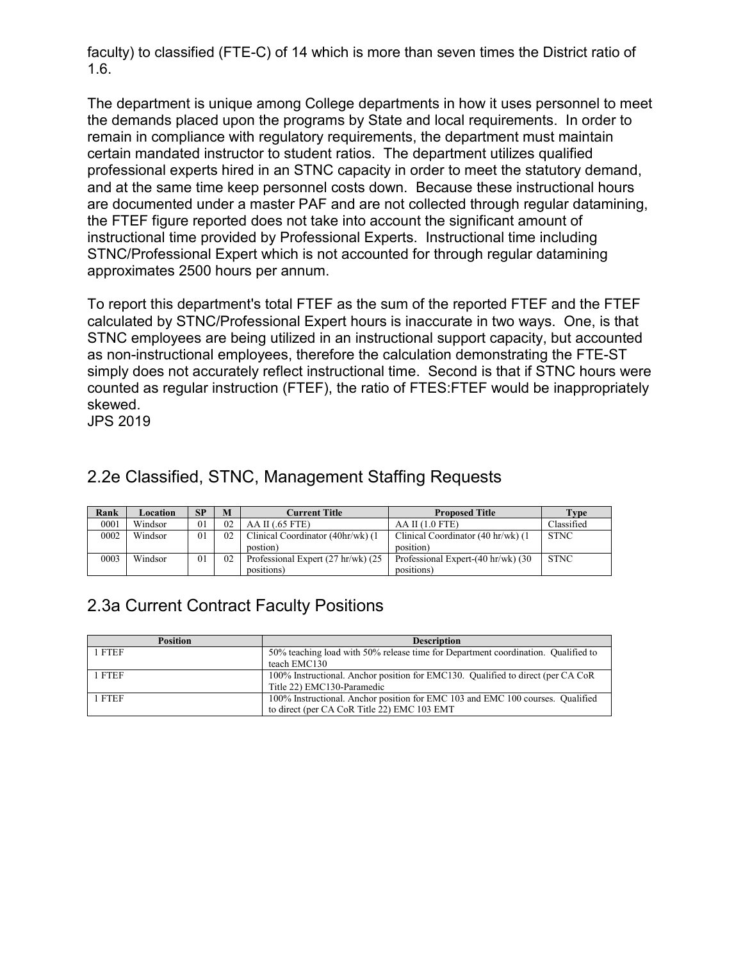faculty) to classified (FTE-C) of 14 which is more than seven times the District ratio of 1.6.

The department is unique among College departments in how it uses personnel to meet the demands placed upon the programs by State and local requirements. In order to remain in compliance with regulatory requirements, the department must maintain certain mandated instructor to student ratios. The department utilizes qualified professional experts hired in an STNC capacity in order to meet the statutory demand, and at the same time keep personnel costs down. Because these instructional hours are documented under a master PAF and are not collected through regular datamining, the FTEF figure reported does not take into account the significant amount of instructional time provided by Professional Experts. Instructional time including STNC/Professional Expert which is not accounted for through regular datamining approximates 2500 hours per annum.

To report this department's total FTEF as the sum of the reported FTEF and the FTEF calculated by STNC/Professional Expert hours is inaccurate in two ways. One, is that STNC employees are being utilized in an instructional support capacity, but accounted as non-instructional employees, therefore the calculation demonstrating the FTE-ST simply does not accurately reflect instructional time. Second is that if STNC hours were counted as regular instruction (FTEF), the ratio of FTES:FTEF would be inappropriately skewed.

JPS 2019

| Rank | Location | SP | M  | Current Title                      | <b>Proposed Title</b>               | Type        |
|------|----------|----|----|------------------------------------|-------------------------------------|-------------|
| 0001 | Windsor  | 01 | 02 | AA II (0.65 FTE)                   | $AA$ II $(1.0$ FTE)                 | Classified  |
| 0002 | Windsor  | 01 | 02 | Clinical Coordinator (40hr/wk) (1) | Clinical Coordinator (40 hr/wk) (1) | <b>STNC</b> |
|      |          |    |    | postion)                           | position)                           |             |
| 0003 | Windsor  | 01 | 02 | Professional Expert (27 hr/wk) (25 | Professional Expert-(40 hr/wk) (30  | <b>STNC</b> |
|      |          |    |    | positions)                         | positions)                          |             |

# 2.2e Classified, STNC, Management Staffing Requests

# 2.3a Current Contract Faculty Positions

| <b>Position</b> | <b>Description</b>                                                                |
|-----------------|-----------------------------------------------------------------------------------|
| 1 FTEF          | 50% teaching load with 50% release time for Department coordination. Qualified to |
|                 | teach EMC130                                                                      |
| 1 FTEF          | 100% Instructional. Anchor position for EMC130. Qualified to direct (per CA CoR   |
|                 | Title 22) EMC130-Paramedic                                                        |
| 1 FTEF          | 100% Instructional. Anchor position for EMC 103 and EMC 100 courses. Qualified    |
|                 | to direct (per CA CoR Title 22) EMC 103 EMT                                       |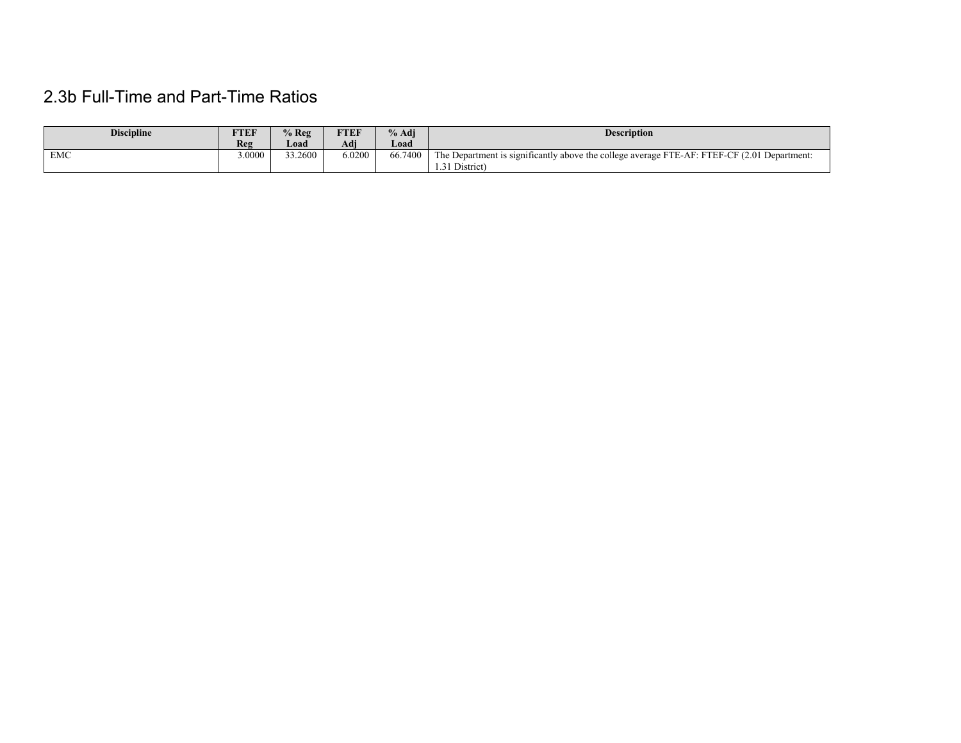# 2.3b Full-Time and Part-Time Ratios

| <b>Discipline</b> | FTEF  | $%$ Reg | <b>TTEF</b> | $%$ Adj | <b>Description</b>                                                                          |
|-------------------|-------|---------|-------------|---------|---------------------------------------------------------------------------------------------|
|                   | Reg   | Load    | Adj         | Load    |                                                                                             |
| <b>EMC</b>        | .0000 | 33.2600 | 5.0200      | 66,7400 | The Department is significantly above the college average FTE-AF: FTEF-CF (2.01 Department: |
|                   |       |         |             |         | 1.31 District)                                                                              |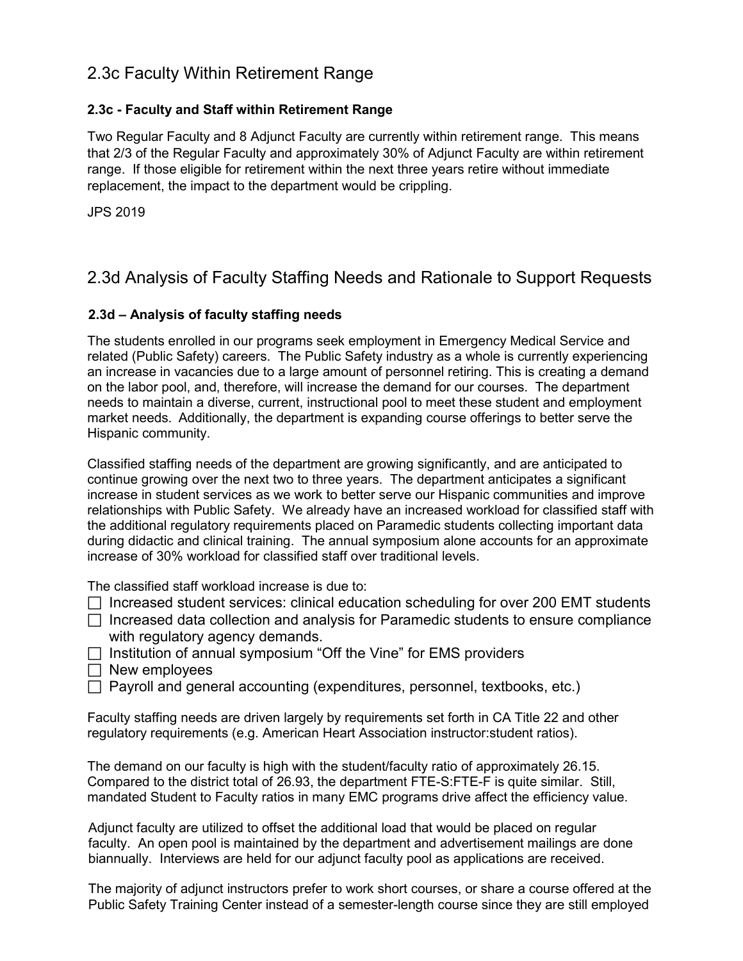# 2.3c Faculty Within Retirement Range

### **2.3c - Faculty and Staff within Retirement Range**

Two Regular Faculty and 8 Adjunct Faculty are currently within retirement range. This means that 2/3 of the Regular Faculty and approximately 30% of Adjunct Faculty are within retirement range. If those eligible for retirement within the next three years retire without immediate replacement, the impact to the department would be crippling.

JPS 2019

# 2.3d Analysis of Faculty Staffing Needs and Rationale to Support Requests

### **2.3d – Analysis of faculty staffing needs**

The students enrolled in our programs seek employment in Emergency Medical Service and related (Public Safety) careers. The Public Safety industry as a whole is currently experiencing an increase in vacancies due to a large amount of personnel retiring. This is creating a demand on the labor pool, and, therefore, will increase the demand for our courses. The department needs to maintain a diverse, current, instructional pool to meet these student and employment market needs. Additionally, the department is expanding course offerings to better serve the Hispanic community.

Classified staffing needs of the department are growing significantly, and are anticipated to continue growing over the next two to three years. The department anticipates a significant increase in student services as we work to better serve our Hispanic communities and improve relationships with Public Safety. We already have an increased workload for classified staff with the additional regulatory requirements placed on Paramedic students collecting important data during didactic and clinical training. The annual symposium alone accounts for an approximate increase of 30% workload for classified staff over traditional levels.

The classified staff workload increase is due to:

- $\Box$  Increased student services: clinical education scheduling for over 200 EMT students
- $\Box$  Increased data collection and analysis for Paramedic students to ensure compliance with regulatory agency demands.
- $\Box$  Institution of annual symposium "Off the Vine" for EMS providers
- $\Box$  New employees
- $\Box$  Payroll and general accounting (expenditures, personnel, textbooks, etc.)

Faculty staffing needs are driven largely by requirements set forth in CA Title 22 and other regulatory requirements (e.g. American Heart Association instructor:student ratios).

The demand on our faculty is high with the student/faculty ratio of approximately 26.15. Compared to the district total of 26.93, the department FTE-S:FTE-F is quite similar. Still, mandated Student to Faculty ratios in many EMC programs drive affect the efficiency value.

Adjunct faculty are utilized to offset the additional load that would be placed on regular faculty. An open pool is maintained by the department and advertisement mailings are done biannually. Interviews are held for our adjunct faculty pool as applications are received.

The majority of adjunct instructors prefer to work short courses, or share a course offered at the Public Safety Training Center instead of a semester-length course since they are still employed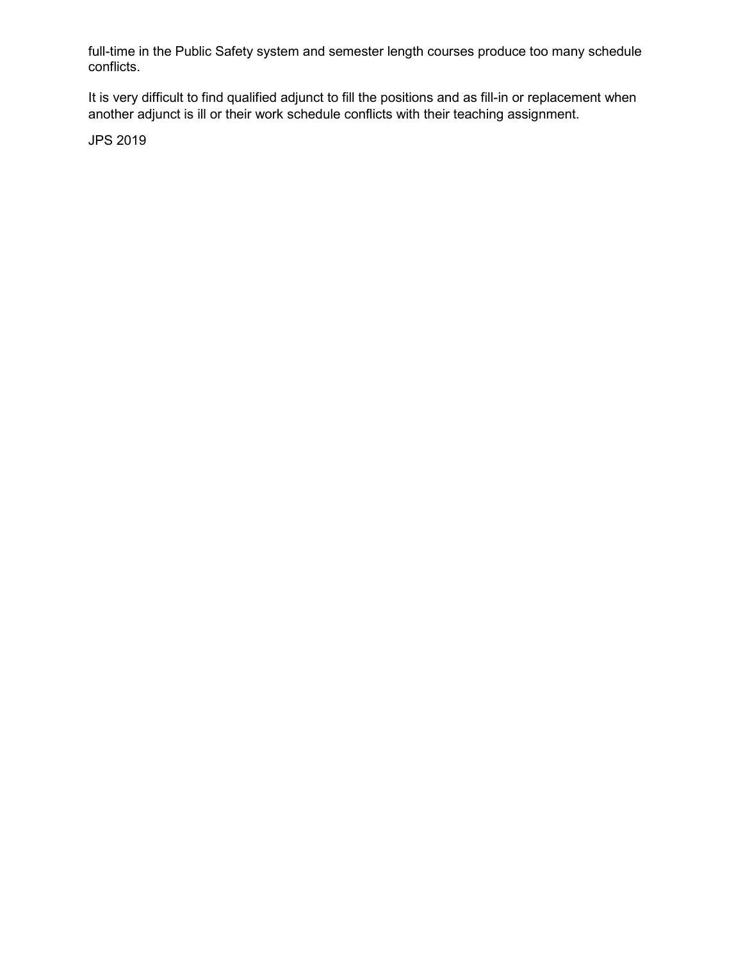full-time in the Public Safety system and semester length courses produce too many schedule conflicts.

It is very difficult to find qualified adjunct to fill the positions and as fill-in or replacement when another adjunct is ill or their work schedule conflicts with their teaching assignment.

JPS 2019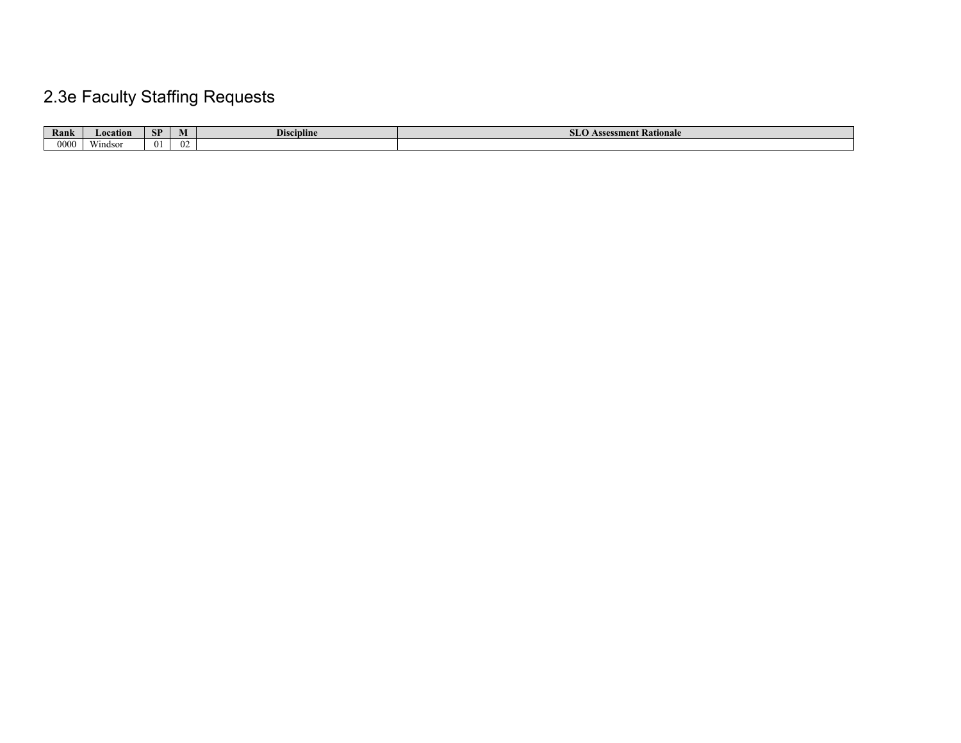# 2.3e Faculty Staffing Requests

| Rank | ocation | CD<br><u>эн</u> | IVI      | <b>Discipline</b> | ssment Rationale<br>73335<br>. <i>.</i> |
|------|---------|-----------------|----------|-------------------|-----------------------------------------|
| 0000 | Windsor |                 | $\Omega$ |                   |                                         |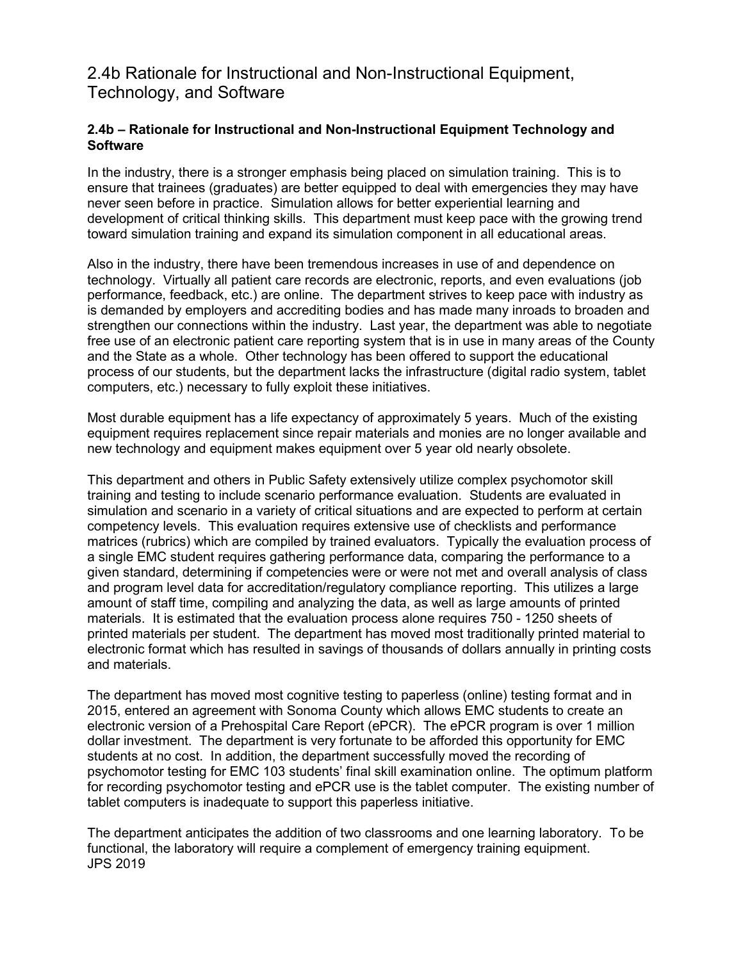# 2.4b Rationale for Instructional and Non-Instructional Equipment, Technology, and Software

### **2.4b – Rationale for Instructional and Non-Instructional Equipment Technology and Software**

In the industry, there is a stronger emphasis being placed on simulation training. This is to ensure that trainees (graduates) are better equipped to deal with emergencies they may have never seen before in practice. Simulation allows for better experiential learning and development of critical thinking skills. This department must keep pace with the growing trend toward simulation training and expand its simulation component in all educational areas.

Also in the industry, there have been tremendous increases in use of and dependence on technology. Virtually all patient care records are electronic, reports, and even evaluations (job performance, feedback, etc.) are online. The department strives to keep pace with industry as is demanded by employers and accrediting bodies and has made many inroads to broaden and strengthen our connections within the industry. Last year, the department was able to negotiate free use of an electronic patient care reporting system that is in use in many areas of the County and the State as a whole. Other technology has been offered to support the educational process of our students, but the department lacks the infrastructure (digital radio system, tablet computers, etc.) necessary to fully exploit these initiatives.

Most durable equipment has a life expectancy of approximately 5 years. Much of the existing equipment requires replacement since repair materials and monies are no longer available and new technology and equipment makes equipment over 5 year old nearly obsolete.

This department and others in Public Safety extensively utilize complex psychomotor skill training and testing to include scenario performance evaluation. Students are evaluated in simulation and scenario in a variety of critical situations and are expected to perform at certain competency levels. This evaluation requires extensive use of checklists and performance matrices (rubrics) which are compiled by trained evaluators. Typically the evaluation process of a single EMC student requires gathering performance data, comparing the performance to a given standard, determining if competencies were or were not met and overall analysis of class and program level data for accreditation/regulatory compliance reporting. This utilizes a large amount of staff time, compiling and analyzing the data, as well as large amounts of printed materials. It is estimated that the evaluation process alone requires 750 - 1250 sheets of printed materials per student. The department has moved most traditionally printed material to electronic format which has resulted in savings of thousands of dollars annually in printing costs and materials.

The department has moved most cognitive testing to paperless (online) testing format and in 2015, entered an agreement with Sonoma County which allows EMC students to create an electronic version of a Prehospital Care Report (ePCR). The ePCR program is over 1 million dollar investment. The department is very fortunate to be afforded this opportunity for EMC students at no cost. In addition, the department successfully moved the recording of psychomotor testing for EMC 103 students' final skill examination online. The optimum platform for recording psychomotor testing and ePCR use is the tablet computer. The existing number of tablet computers is inadequate to support this paperless initiative.

The department anticipates the addition of two classrooms and one learning laboratory. To be functional, the laboratory will require a complement of emergency training equipment. JPS 2019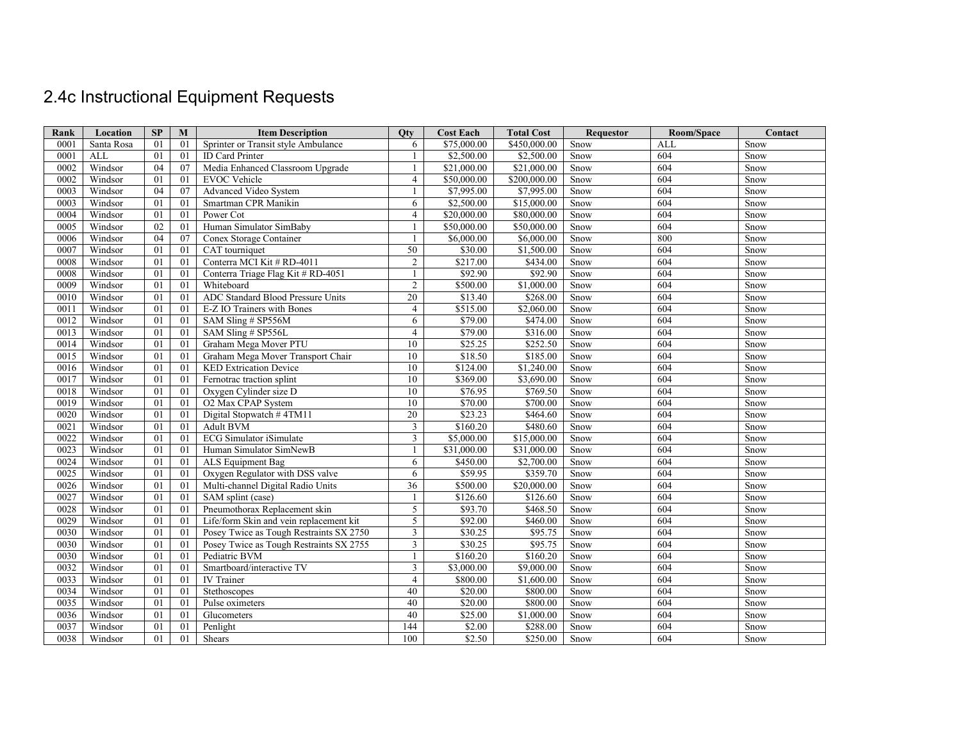# 2.4c Instructional Equipment Requests

| Rank | Location   | SP | M  | <b>Item Description</b>                 | Otv             | <b>Cost Each</b> | <b>Total Cost</b> | <b>Requestor</b> | Room/Space | Contact     |
|------|------------|----|----|-----------------------------------------|-----------------|------------------|-------------------|------------------|------------|-------------|
| 0001 | Santa Rosa | 01 | 01 | Sprinter or Transit style Ambulance     | 6               | \$75,000.00      | \$450,000.00      | Snow             | <b>ALL</b> | Snow        |
| 0001 | <b>ALL</b> | 01 | 01 | <b>ID</b> Card Printer                  | 1               | \$2,500.00       | \$2,500.00        | Snow             | 604        | Snow        |
| 0002 | Windsor    | 04 | 07 | Media Enhanced Classroom Upgrade        | 1               | \$21,000.00      | \$21,000.00       | Snow             | 604        | Snow        |
| 0002 | Windsor    | 01 | 01 | <b>EVOC</b> Vehicle                     | $\overline{4}$  | \$50,000,00      | \$200,000.00      | Snow             | 604        | Snow        |
| 0003 | Windsor    | 04 | 07 | Advanced Video System                   | $\mathbf{1}$    | \$7,995.00       | \$7,995.00        | Snow             | 604        | Snow        |
| 0003 | Windsor    | 01 | 01 | Smartman CPR Manikin                    | 6               | \$2,500.00       | \$15,000.00       | Snow             | 604        | Snow        |
| 0004 | Windsor    | 01 | 01 | Power Cot                               | $\overline{4}$  | \$20,000.00      | \$80,000.00       | Snow             | 604        | Snow        |
| 0005 | Windsor    | 02 | 01 | Human Simulator SimBaby                 | $\mathbf{1}$    | \$50,000.00      | \$50,000.00       | Snow             | 604        | Snow        |
| 0006 | Windsor    | 04 | 07 | Conex Storage Container                 | 1               | \$6,000.00       | \$6,000.00        | Snow             | 800        | Snow        |
| 0007 | Windsor    | 01 | 01 | CAT tourniquet                          | 50              | \$30.00          | \$1,500.00        | Snow             | 604        | Snow        |
| 0008 | Windsor    | 01 | 01 | Conterra MCI Kit # RD-4011              | $\overline{2}$  | \$217.00         | \$434.00          | Snow             | 604        | Snow        |
| 0008 | Windsor    | 01 | 01 | Conterra Triage Flag Kit # RD-4051      | 1               | \$92.90          | \$92.90           | Snow             | 604        | Snow        |
| 0009 | Windsor    | 01 | 01 | Whiteboard                              | $\overline{2}$  | \$500.00         | \$1,000.00        | Snow             | 604        | Snow        |
| 0010 | Windsor    | 01 | 01 | ADC Standard Blood Pressure Units       | $\overline{20}$ | \$13.40          | \$268.00          | Snow             | 604        | Snow        |
| 0011 | Windsor    | 01 | 01 | E-Z IO Trainers with Bones              | $\overline{4}$  | \$515.00         | \$2,060.00        | Snow             | 604        | Snow        |
| 0012 | Windsor    | 01 | 01 | SAM Sling # SP556M                      | 6               | \$79.00          | \$474.00          | Snow             | 604        | Snow        |
| 0013 | Windsor    | 01 | 01 | SAM Sling # SP556L                      | $\overline{4}$  | \$79.00          | \$316.00          | Snow             | 604        | Snow        |
| 0014 | Windsor    | 01 | 01 | Graham Mega Mover PTU                   | 10              | \$25.25          | \$252.50          | Snow             | 604        | Snow        |
| 0015 | Windsor    | 01 | 01 | Graham Mega Mover Transport Chair       | 10              | \$18.50          | \$185.00          | Snow             | 604        | Snow        |
| 0016 | Windsor    | 01 | 01 | <b>KED Extrication Device</b>           | 10              | \$124.00         | \$1,240.00        | Snow             | 604        | Snow        |
| 0017 | Windsor    | 01 | 01 | Fernotrac traction splint               | 10              | \$369.00         | \$3,690.00        | Snow             | 604        | Snow        |
| 0018 | Windsor    | 01 | 01 | Oxygen Cylinder size D                  | 10              | \$76.95          | \$769.50          | Snow             | 604        | Snow        |
| 0019 | Windsor    | 01 | 01 | O2 Max CPAP System                      | 10              | \$70.00          | \$700.00          | Snow             | 604        | Snow        |
| 0020 | Windsor    | 01 | 01 | Digital Stopwatch #4TM11                | 20              | \$23.23          | \$464.60          | Snow             | 604        | Snow        |
| 0021 | Windsor    | 01 | 01 | <b>Adult BVM</b>                        | $\mathfrak{Z}$  | \$160.20         | \$480.60          | Snow             | 604        | Snow        |
| 0022 | Windsor    | 01 | 01 | <b>ECG</b> Simulator iSimulate          | 3               | \$5,000.00       | \$15,000.00       | Snow             | 604        | Snow        |
| 0023 | Windsor    | 01 | 01 | Human Simulator SimNewB                 | 1               | \$31,000.00      | \$31,000.00       | Snow             | 604        | Snow        |
| 0024 | Windsor    | 01 | 01 | ALS Equipment Bag                       | 6               | \$450.00         | \$2,700.00        | Snow             | 604        | Snow        |
| 0025 | Windsor    | 01 | 01 | Oxygen Regulator with DSS valve         | 6               | \$59.95          | \$359.70          | Snow             | 604        | Snow        |
| 0026 | Windsor    | 01 | 01 | Multi-channel Digital Radio Units       | 36              | \$500.00         | \$20,000.00       | Snow             | 604        | Snow        |
| 0027 | Windsor    | 01 | 01 | SAM splint (case)                       | -1              | \$126.60         | \$126.60          | Snow             | 604        | Snow        |
| 0028 | Windsor    | 01 | 01 | Pneumothorax Replacement skin           | 5               | \$93.70          | \$468.50          | Snow             | 604        | Snow        |
| 0029 | Windsor    | 01 | 01 | Life/form Skin and vein replacement kit | 5               | \$92.00          | \$460.00          | Snow             | 604        | Snow        |
| 0030 | Windsor    | 01 | 01 | Posey Twice as Tough Restraints SX 2750 | 3               | \$30.25          | \$95.75           | Snow             | 604        | Snow        |
| 0030 | Windsor    | 01 | 01 | Posey Twice as Tough Restraints SX 2755 | 3               | \$30.25          | \$95.75           | Snow             | 604        | Snow        |
| 0030 | Windsor    | 01 | 01 | Pediatric BVM                           | $\mathbf{1}$    | \$160.20         | \$160.20          | Snow             | 604        | Snow        |
| 0032 | Windsor    | 01 | 01 | Smartboard/interactive TV               | $\overline{3}$  | \$3,000.00       | \$9,000.00        | Snow             | 604        | Snow        |
| 0033 | Windsor    | 01 | 01 | <b>IV</b> Trainer                       | $\overline{4}$  | \$800.00         | \$1,600.00        | Snow             | 604        | Snow        |
| 0034 | Windsor    | 01 | 01 | Stethoscopes                            | 40              | \$20.00          | \$800.00          | Snow             | 604        | <b>Snow</b> |
| 0035 | Windsor    | 01 | 01 | Pulse oximeters                         | 40              | \$20.00          | \$800.00          | Snow             | 604        | Snow        |
| 0036 | Windsor    | 01 | 01 | Glucometers                             | 40              | \$25.00          | \$1,000.00        | Snow             | 604        | Snow        |
| 0037 | Windsor    | 01 | 01 | Penlight                                | 144             | \$2.00           | \$288.00          | Snow             | 604        | Snow        |
| 0038 | Windsor    | 01 | 01 | Shears                                  | 100             | \$2.50           | \$250.00          | Snow             | 604        | Snow        |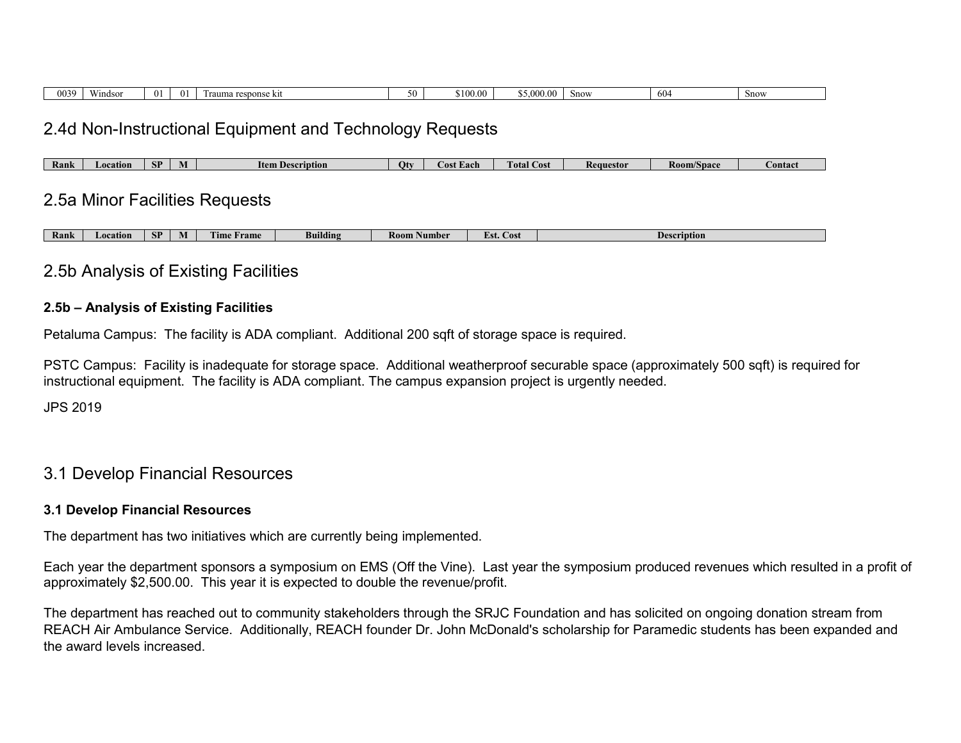| 0039 | Windson | $^{\prime\prime}$ | $^{\circ}$ | response kit<br>`um⊾ | `100.t<br>0 | 00 <sup>1</sup><br>5.000 | Snow | 61<br>$\cdots$ | Snow |
|------|---------|-------------------|------------|----------------------|-------------|--------------------------|------|----------------|------|

# 2.4d Non-Instructional Equipment and Technology Requests

# 2.5a Minor Facilities Requests

| Rank | ocation | CD.<br>Ю. | - IVI | <b>FRIDE</b><br><b>Trame</b><br>UID. | Building | Room .<br>. Number | <b>Lost</b><br>281. U | Description |
|------|---------|-----------|-------|--------------------------------------|----------|--------------------|-----------------------|-------------|
|------|---------|-----------|-------|--------------------------------------|----------|--------------------|-----------------------|-------------|

# 2.5b Analysis of Existing Facilities

### **2.5b – Analysis of Existing Facilities**

Petaluma Campus: The facility is ADA compliant. Additional 200 sqft of storage space is required.

PSTC Campus: Facility is inadequate for storage space. Additional weatherproof securable space (approximately 500 sqft) is required for instructional equipment. The facility is ADA compliant. The campus expansion project is urgently needed.

JPS 2019

# 3.1 Develop Financial Resources

### **3.1 Develop Financial Resources**

The department has two initiatives which are currently being implemented.

Each year the department sponsors a symposium on EMS (Off the Vine). Last year the symposium produced revenues which resulted in a profit of approximately \$2,500.00. This year it is expected to double the revenue/profit.

The department has reached out to community stakeholders through the SRJC Foundation and has solicited on ongoing donation stream from REACH Air Ambulance Service. Additionally, REACH founder Dr. John McDonald's scholarship for Paramedic students has been expanded and the award levels increased.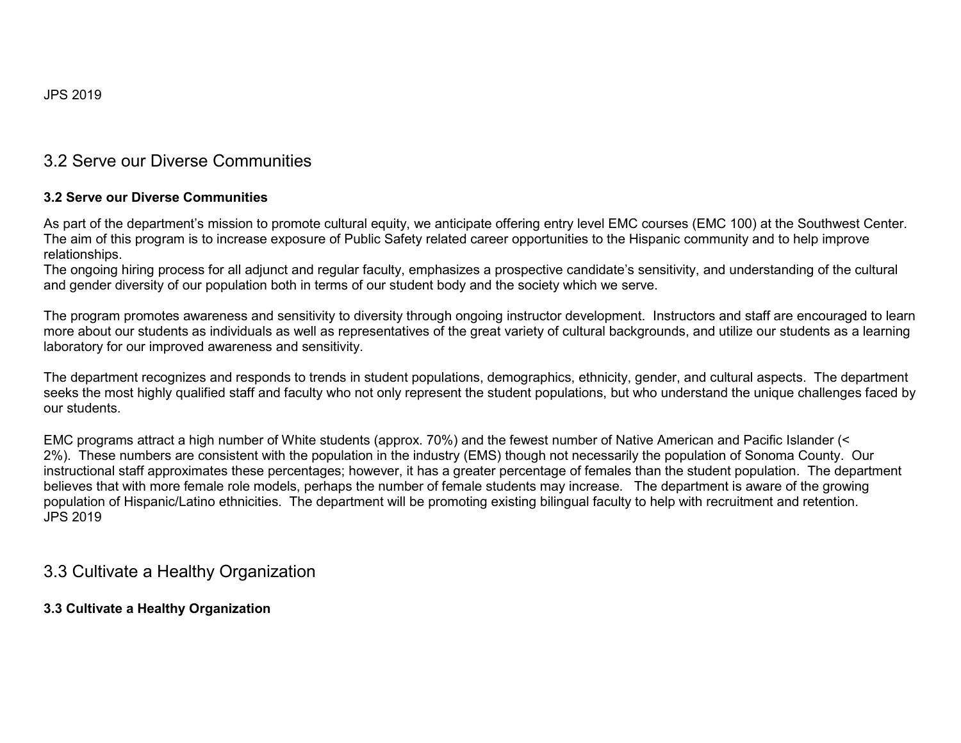# 3.2 Serve our Diverse Communities

### **3.2 Serve our Diverse Communities**

As part of the department's mission to promote cultural equity, we anticipate offering entry level EMC courses (EMC 100) at the Southwest Center. The aim of this program is to increase exposure of Public Safety related career opportunities to the Hispanic community and to help improve relationships.

The ongoing hiring process for all adjunct and regular faculty, emphasizes a prospective candidate's sensitivity, and understanding of the cultural and gender diversity of our population both in terms of our student body and the society which we serve.

The program promotes awareness and sensitivity to diversity through ongoing instructor development. Instructors and staff are encouraged to learn more about our students as individuals as well as representatives of the great variety of cultural backgrounds, and utilize our students as a learning laboratory for our improved awareness and sensitivity.

The department recognizes and responds to trends in student populations, demographics, ethnicity, gender, and cultural aspects. The department seeks the most highly qualified staff and faculty who not only represent the student populations, but who understand the unique challenges faced by our students.

EMC programs attract a high number of White students (approx. 70%) and the fewest number of Native American and Pacific Islander (< 2%). These numbers are consistent with the population in the industry (EMS) though not necessarily the population of Sonoma County. Our instructional staff approximates these percentages; however, it has a greater percentage of females than the student population. The department believes that with more female role models, perhaps the number of female students may increase. The department is aware of the growing population of Hispanic/Latino ethnicities. The department will be promoting existing bilingual faculty to help with recruitment and retention. JPS 2019

# 3.3 Cultivate a Healthy Organization

### **3.3 Cultivate a Healthy Organization**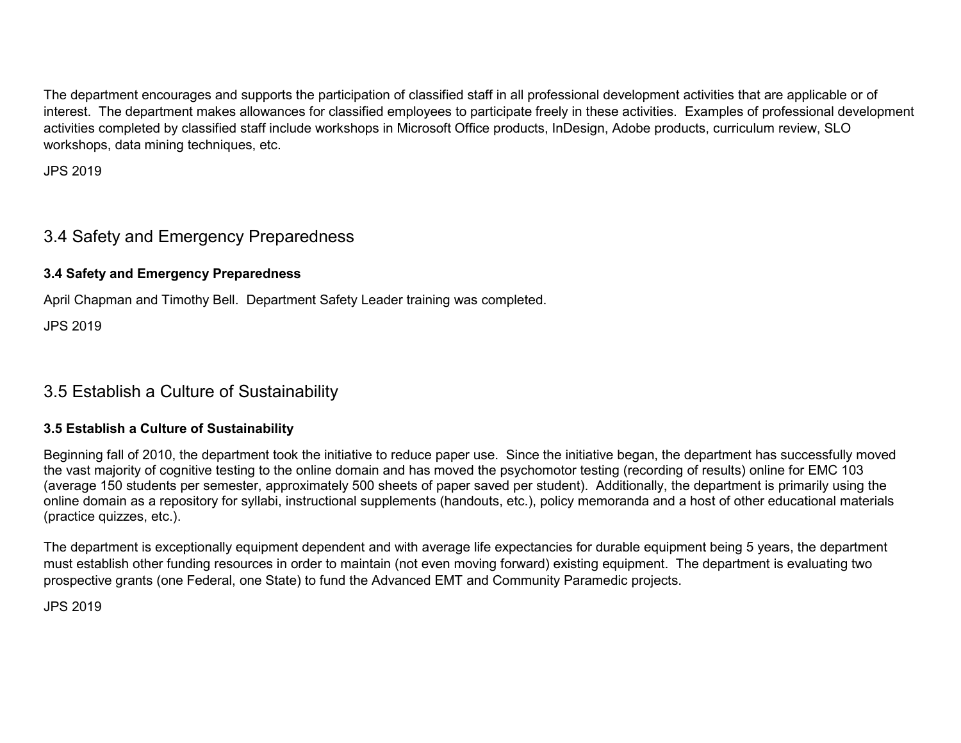The department encourages and supports the participation of classified staff in all professional development activities that are applicable or of interest. The department makes allowances for classified employees to participate freely in these activities. Examples of professional development activities completed by classified staff include workshops in Microsoft Office products, InDesign, Adobe products, curriculum review, SLO workshops, data mining techniques, etc.

JPS 2019

# 3.4 Safety and Emergency Preparedness

# **3.4 Safety and Emergency Preparedness**

April Chapman and Timothy Bell. Department Safety Leader training was completed.

JPS 2019

# 3.5 Establish a Culture of Sustainability

# **3.5 Establish a Culture of Sustainability**

Beginning fall of 2010, the department took the initiative to reduce paper use. Since the initiative began, the department has successfully moved the vast majority of cognitive testing to the online domain and has moved the psychomotor testing (recording of results) online for EMC 103 (average 150 students per semester, approximately 500 sheets of paper saved per student). Additionally, the department is primarily using the online domain as a repository for syllabi, instructional supplements (handouts, etc.), policy memoranda and a host of other educational materials (practice quizzes, etc.).

The department is exceptionally equipment dependent and with average life expectancies for durable equipment being 5 years, the department must establish other funding resources in order to maintain (not even moving forward) existing equipment. The department is evaluating two prospective grants (one Federal, one State) to fund the Advanced EMT and Community Paramedic projects.

JPS 2019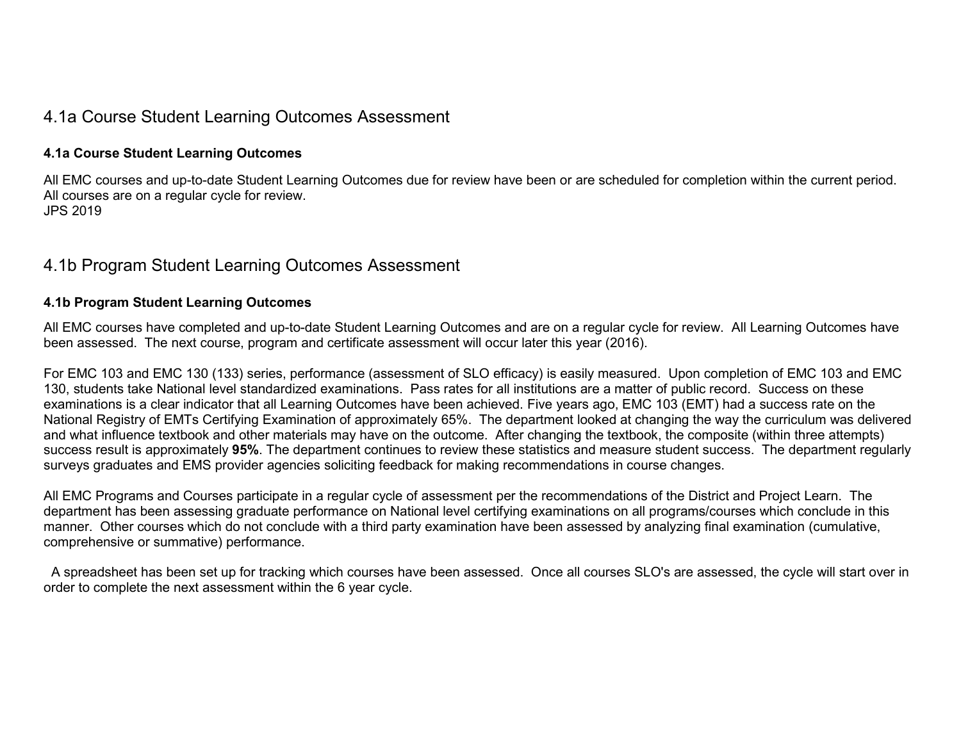# 4.1a Course Student Learning Outcomes Assessment

### **4.1a Course Student Learning Outcomes**

All EMC courses and up-to-date Student Learning Outcomes due for review have been or are scheduled for completion within the current period. All courses are on a regular cycle for review. JPS 2019

# 4.1b Program Student Learning Outcomes Assessment

### **4.1b Program Student Learning Outcomes**

All EMC courses have completed and up-to-date Student Learning Outcomes and are on a regular cycle for review. All Learning Outcomes have been assessed. The next course, program and certificate assessment will occur later this year (2016).

For EMC 103 and EMC 130 (133) series, performance (assessment of SLO efficacy) is easily measured. Upon completion of EMC 103 and EMC 130, students take National level standardized examinations. Pass rates for all institutions are a matter of public record. Success on these examinations is a clear indicator that all Learning Outcomes have been achieved. Five years ago, EMC 103 (EMT) had a success rate on the National Registry of EMTs Certifying Examination of approximately 65%. The department looked at changing the way the curriculum was delivered and what influence textbook and other materials may have on the outcome. After changing the textbook, the composite (within three attempts) success result is approximately **95%**. The department continues to review these statistics and measure student success. The department regularly surveys graduates and EMS provider agencies soliciting feedback for making recommendations in course changes.

All EMC Programs and Courses participate in a regular cycle of assessment per the recommendations of the District and Project Learn. The department has been assessing graduate performance on National level certifying examinations on all programs/courses which conclude in this manner. Other courses which do not conclude with a third party examination have been assessed by analyzing final examination (cumulative, comprehensive or summative) performance.

 A spreadsheet has been set up for tracking which courses have been assessed. Once all courses SLO's are assessed, the cycle will start over in order to complete the next assessment within the 6 year cycle.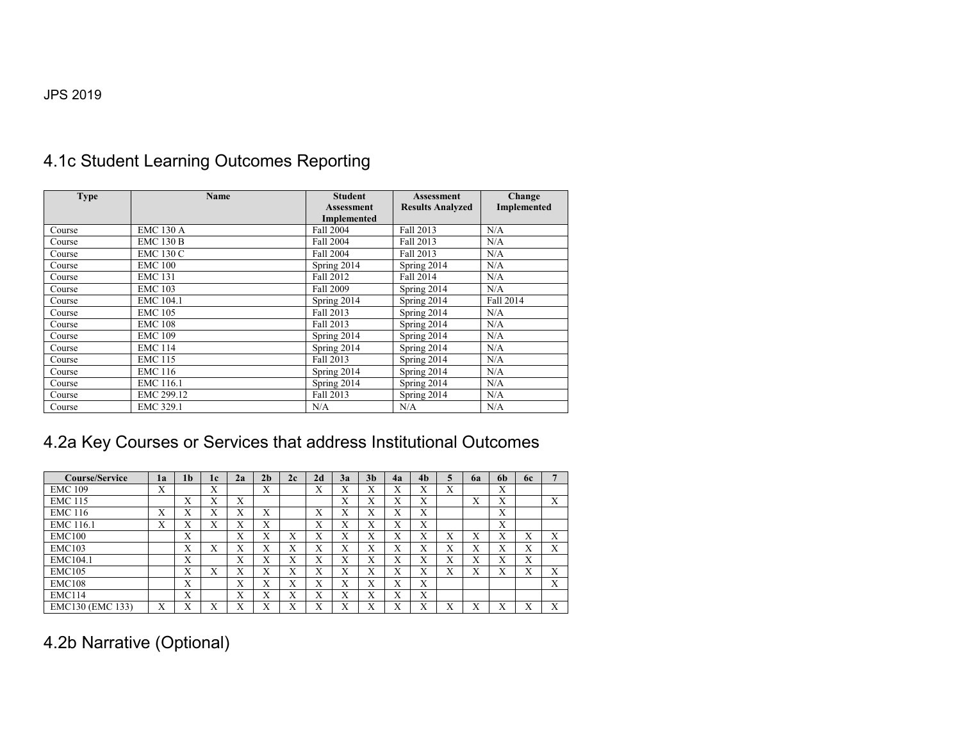# 4.1c Student Learning Outcomes Reporting

| <b>Type</b> | <b>Name</b>      | <b>Student</b>                   | <b>Assessment</b>       | Change      |
|-------------|------------------|----------------------------------|-------------------------|-------------|
|             |                  | <b>Assessment</b><br>Implemented | <b>Results Analyzed</b> | Implemented |
| Course      | <b>EMC 130 A</b> | Fall 2004                        | Fall 2013               | N/A         |
| Course      | <b>EMC 130 B</b> | Fall 2004                        | Fall 2013               | N/A         |
| Course      | <b>EMC 130 C</b> | Fall 2004                        | Fall 2013               | N/A         |
| Course      | <b>EMC 100</b>   | Spring 2014                      | Spring 2014             | N/A         |
| Course      | <b>EMC 131</b>   | Fall 2012                        | Fall 2014               | N/A         |
| Course      | <b>EMC 103</b>   | <b>Fall 2009</b>                 | Spring 2014             | N/A         |
| Course      | EMC 104.1        | Spring 2014                      | Spring 2014             | Fall 2014   |
| Course      | <b>EMC 105</b>   | Fall 2013                        | Spring 2014             | N/A         |
| Course      | <b>EMC 108</b>   | Fall 2013                        | Spring 2014             | N/A         |
| Course      | <b>EMC 109</b>   | Spring 2014                      | Spring 2014             | N/A         |
| Course      | <b>EMC 114</b>   | Spring 2014                      | Spring 2014             | N/A         |
| Course      | <b>EMC 115</b>   | Fall 2013                        | Spring 2014             | N/A         |
| Course      | <b>EMC 116</b>   | Spring 2014                      | Spring 2014             | N/A         |
| Course      | EMC 116.1        | Spring 2014                      | Spring 2014             | N/A         |
| Course      | EMC 299.12       | Fall 2013                        | Spring 2014             | N/A         |
| Course      | EMC 329.1        | N/A                              | N/A                     | N/A         |

# 4.2a Key Courses or Services that address Institutional Outcomes

| <b>Course/Service</b> | lа | 1 <sub>b</sub>   | 1c | 2a | 2 <sub>h</sub> | 2c | 2d                | 3a                        | 3 <sub>h</sub>    | 4a | 4 <sub>b</sub>   | 5 | 62               | 6 <sub>b</sub>    | 6с             |   |
|-----------------------|----|------------------|----|----|----------------|----|-------------------|---------------------------|-------------------|----|------------------|---|------------------|-------------------|----------------|---|
| <b>EMC 109</b>        | Х  |                  | X  |    | X              |    | $\mathbf{v}$<br>A | $\mathbf{v}$<br>$\lambda$ | $\mathbf{v}$<br>A | X  | $\mathbf v$<br>л | X |                  | X                 |                |   |
| <b>EMC 115</b>        |    | X                | X  | X  |                |    |                   | X                         | $\mathbf{v}$<br>л | X  | X                |   | $\mathbf v$<br>л | Х                 |                | X |
| <b>EMC 116</b>        | Х  | X                | X  | X  | Х              |    | v<br>A            | $\mathbf{v}$<br>$\lambda$ | $\mathbf{v}$<br>л | X  | X                |   |                  | X                 |                |   |
| EMC 116.1             | Х  | X                | X  | X  | X              |    | $\mathbf{v}$<br>A | X                         | $\mathbf{v}$<br>A | X  | X                |   |                  | X                 |                |   |
| <b>EMC100</b>         |    | X                |    | X  | Х              | Х  | v<br>A            | v<br>A                    | X                 | X  | X                | X | Х                | $\mathbf{v}$<br>л | v<br>$\lambda$ | X |
| <b>EMC103</b>         |    | X                | X  | X  | X              | Х  | v<br>л            | X                         | $\mathbf{v}$<br>л | X  | X                | X | X                | v<br>$\mathbf x$  | v<br>$\lambda$ | X |
| EMC104.1              |    | Х                |    | X  | X              | X  | v<br>л            | v<br>A                    | Х                 | X  | X                | Х | X                | X                 | X              |   |
| <b>EMC105</b>         |    | Х                | X  | X  | X              | Х  | X                 | X                         | Х                 | X  | X                | Х | Х                | Х                 | v<br>$\lambda$ | X |
| <b>EMC108</b>         |    | X                |    | X  | X              | X  | X                 | X                         | Х                 | X  | X                |   |                  |                   |                | X |
| <b>EMC114</b>         |    | X                |    | X  | X              | X  | v<br>л            | X                         | v<br>л            | X  | X                |   |                  |                   |                |   |
| EMC130 (EMC 133)      | Х  | $\mathbf v$<br>л | X  | X  | X              | Х  | v<br>л            | v                         | v<br>л            | X  | $\mathbf v$<br>л | X | v<br>$\lambda$   | v<br>△            | v<br>л         | X |

# 4.2b Narrative (Optional)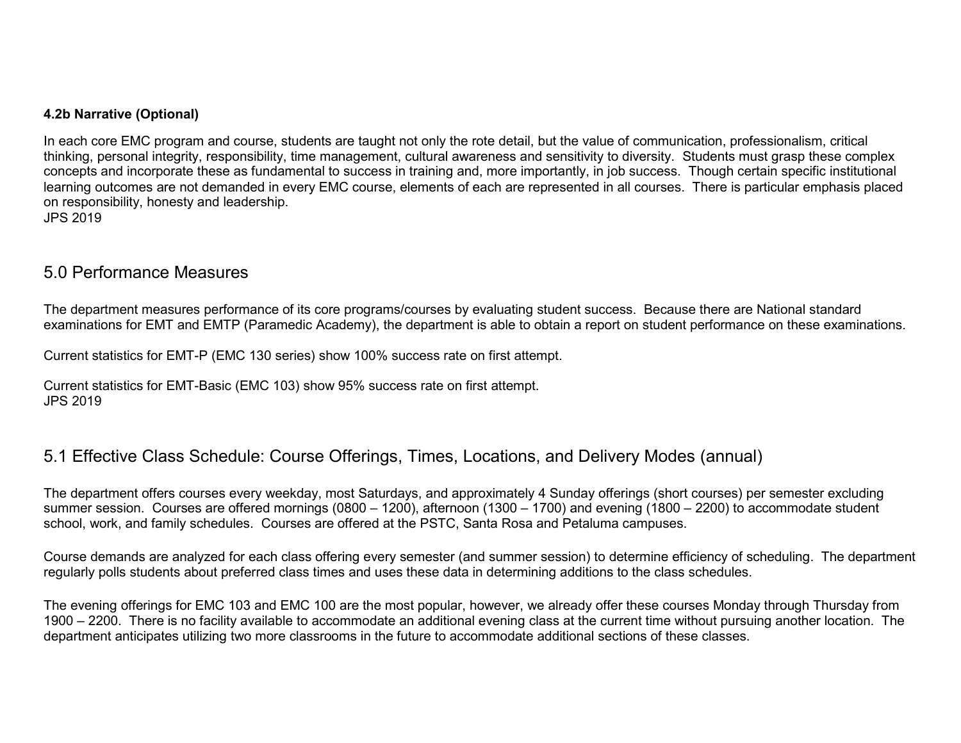### **4.2b Narrative (Optional)**

In each core EMC program and course, students are taught not only the rote detail, but the value of communication, professionalism, critical thinking, personal integrity, responsibility, time management, cultural awareness and sensitivity to diversity. Students must grasp these complex concepts and incorporate these as fundamental to success in training and, more importantly, in job success. Though certain specific institutional learning outcomes are not demanded in every EMC course, elements of each are represented in all courses. There is particular emphasis placed on responsibility, honesty and leadership. JPS 2019

# 5.0 Performance Measures

The department measures performance of its core programs/courses by evaluating student success. Because there are National standard examinations for EMT and EMTP (Paramedic Academy), the department is able to obtain a report on student performance on these examinations.

Current statistics for EMT-P (EMC 130 series) show 100% success rate on first attempt.

Current statistics for EMT-Basic (EMC 103) show 95% success rate on first attempt. JPS 2019

# 5.1 Effective Class Schedule: Course Offerings, Times, Locations, and Delivery Modes (annual)

The department offers courses every weekday, most Saturdays, and approximately 4 Sunday offerings (short courses) per semester excluding summer session. Courses are offered mornings (0800 – 1200), afternoon (1300 – 1700) and evening (1800 – 2200) to accommodate student school, work, and family schedules. Courses are offered at the PSTC, Santa Rosa and Petaluma campuses.

Course demands are analyzed for each class offering every semester (and summer session) to determine efficiency of scheduling. The department regularly polls students about preferred class times and uses these data in determining additions to the class schedules.

The evening offerings for EMC 103 and EMC 100 are the most popular, however, we already offer these courses Monday through Thursday from 1900 – 2200. There is no facility available to accommodate an additional evening class at the current time without pursuing another location. The department anticipates utilizing two more classrooms in the future to accommodate additional sections of these classes.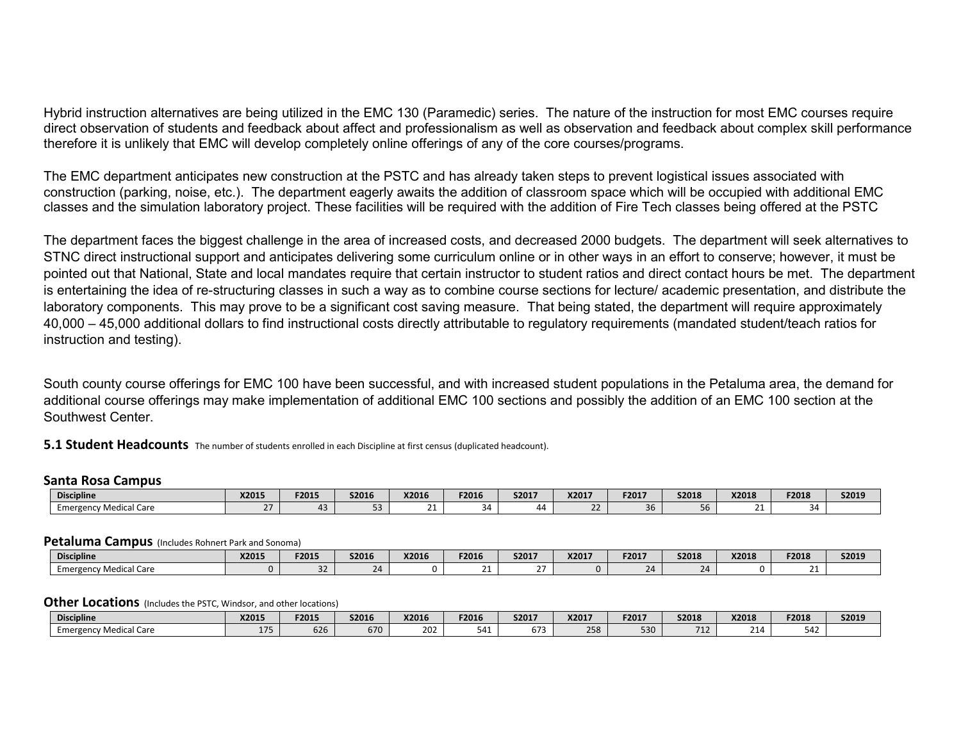Hybrid instruction alternatives are being utilized in the EMC 130 (Paramedic) series. The nature of the instruction for most EMC courses require direct observation of students and feedback about affect and professionalism as well as observation and feedback about complex skill performance therefore it is unlikely that EMC will develop completely online offerings of any of the core courses/programs.

The EMC department anticipates new construction at the PSTC and has already taken steps to prevent logistical issues associated with construction (parking, noise, etc.). The department eagerly awaits the addition of classroom space which will be occupied with additional EMC classes and the simulation laboratory project. These facilities will be required with the addition of Fire Tech classes being offered at the PSTC

The department faces the biggest challenge in the area of increased costs, and decreased 2000 budgets. The department will seek alternatives to STNC direct instructional support and anticipates delivering some curriculum online or in other ways in an effort to conserve; however, it must be pointed out that National, State and local mandates require that certain instructor to student ratios and direct contact hours be met. The department is entertaining the idea of re-structuring classes in such a way as to combine course sections for lecture/ academic presentation, and distribute the laboratory components. This may prove to be a significant cost saving measure. That being stated, the department will require approximately 40,000 – 45,000 additional dollars to find instructional costs directly attributable to regulatory requirements (mandated student/teach ratios for instruction and testing).

South county course offerings for EMC 100 have been successful, and with increased student populations in the Petaluma area, the demand for additional course offerings may make implementation of additional EMC 100 sections and possibly the addition of an EMC 100 section at the Southwest Center.

**5.1 Student Headcounts** The number of students enrolled in each Discipline at first census (duplicated headcount).

#### **Santa Rosa Campus**

| <b>Discipline</b>         | X2015 | F2015 | <b>S2016</b> | X2016 | F2016 | S2017 | X2017 | F2017 | <b>S2018</b> | X2018 | F2018 | S2019 |
|---------------------------|-------|-------|--------------|-------|-------|-------|-------|-------|--------------|-------|-------|-------|
| √ Medical Care<br>cmerger |       |       |              |       |       | 44    |       | 36    | סכ           | . .   |       |       |

#### **Petaluma Campus** (Includes Rohnert Park and Sonoma)

| <b>Discipline</b>                   | <b>X2015</b> | F2015 | S2016 | X2016 | F2016 | S2017    | X2017 | F2017 | <b>S2018</b> | X2018 | F2018         | S2019 |
|-------------------------------------|--------------|-------|-------|-------|-------|----------|-------|-------|--------------|-------|---------------|-------|
| $\sim$<br>Medical Care<br>Emergency |              | --    | 2Δ    |       |       | $-$<br>- |       | 24    |              |       | $\sim$<br>. . |       |

#### **Other Locations** (Includes the PSTC, Windsor, and other locations)

| <b>Discipline</b>           | X2015 | F2015 | S2016 | X2016 | F2016 | S201   | <b>X2017</b> | F2017 | <b>S2018</b>    | X2018                 | F2018        | <b>S2019</b> |
|-----------------------------|-------|-------|-------|-------|-------|--------|--------------|-------|-----------------|-----------------------|--------------|--------------|
| / Medical Care<br>Emergency | - - - | 626   | 670   | 202   | .     | $\sim$ | 258          | 530   | $-1$<br><b></b> | $\sim$ $\sim$<br>- 14 | $-12$<br>542 |              |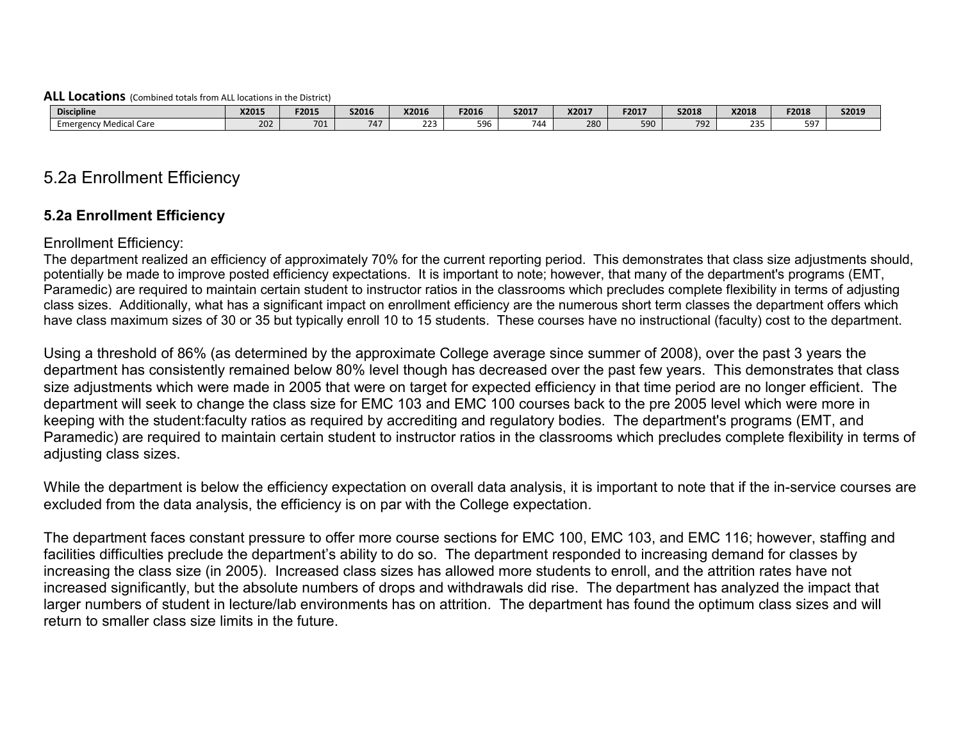#### **ALL Locations** (Combined totals from ALL locations in the District)

| <b>Discipline</b>        | X2015         | F2015 | <b>S2016</b> | X2016     | F2016 | S2017 | X2017 | F2017 | <b>S2018</b> | X2018 | F2018     | S2019 |
|--------------------------|---------------|-------|--------------|-----------|-------|-------|-------|-------|--------------|-------|-----------|-------|
| Care<br>Medical<br>Emerr | $\sim$<br>202 | 701   | $ -$         | つつつ<br>-- | 596   | 744   | 280   | 590   | 792          | nn F  | $ -$<br>. |       |

# 5.2a Enrollment Efficiency

# **5.2a Enrollment Efficiency**

### Enrollment Efficiency:

The department realized an efficiency of approximately 70% for the current reporting period. This demonstrates that class size adjustments should, potentially be made to improve posted efficiency expectations. It is important to note; however, that many of the department's programs (EMT, Paramedic) are required to maintain certain student to instructor ratios in the classrooms which precludes complete flexibility in terms of adjusting class sizes. Additionally, what has a significant impact on enrollment efficiency are the numerous short term classes the department offers which have class maximum sizes of 30 or 35 but typically enroll 10 to 15 students. These courses have no instructional (faculty) cost to the department.

Using a threshold of 86% (as determined by the approximate College average since summer of 2008), over the past 3 years the department has consistently remained below 80% level though has decreased over the past few years. This demonstrates that class size adjustments which were made in 2005 that were on target for expected efficiency in that time period are no longer efficient. The department will seek to change the class size for EMC 103 and EMC 100 courses back to the pre 2005 level which were more in keeping with the student:faculty ratios as required by accrediting and regulatory bodies. The department's programs (EMT, and Paramedic) are required to maintain certain student to instructor ratios in the classrooms which precludes complete flexibility in terms of adjusting class sizes.

While the department is below the efficiency expectation on overall data analysis, it is important to note that if the in-service courses are excluded from the data analysis, the efficiency is on par with the College expectation.

The department faces constant pressure to offer more course sections for EMC 100, EMC 103, and EMC 116; however, staffing and facilities difficulties preclude the department's ability to do so. The department responded to increasing demand for classes by increasing the class size (in 2005). Increased class sizes has allowed more students to enroll, and the attrition rates have not increased significantly, but the absolute numbers of drops and withdrawals did rise. The department has analyzed the impact that larger numbers of student in lecture/lab environments has on attrition. The department has found the optimum class sizes and will return to smaller class size limits in the future.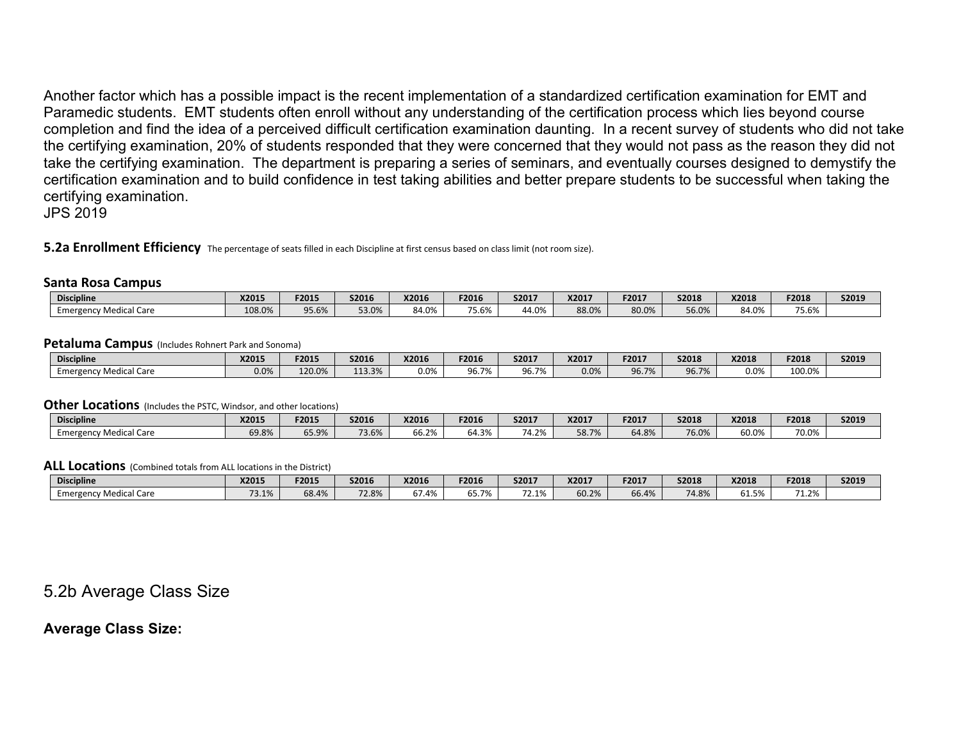Another factor which has a possible impact is the recent implementation of a standardized certification examination for EMT and Paramedic students. EMT students often enroll without any understanding of the certification process which lies beyond course completion and find the idea of a perceived difficult certification examination daunting. In a recent survey of students who did not take the certifying examination, 20% of students responded that they were concerned that they would not pass as the reason they did not take the certifying examination. The department is preparing a series of seminars, and eventually courses designed to demystify the certification examination and to build confidence in test taking abilities and better prepare students to be successful when taking the certifying examination.

JPS 2019

**5.2a Enrollment Efficiency** The percentage of seats filled in each Discipline at first census based on class limit (not room size).

#### **Santa Rosa Campus**

| <b>Discipline</b>         | <b>X2015</b> | F2015 | <b>S2016</b> | X2016 | <b>F2016</b>                          | S2017 | X2017 | F2017 | S2018 | X2018                | F2018               | S2019 |
|---------------------------|--------------|-------|--------------|-------|---------------------------------------|-------|-------|-------|-------|----------------------|---------------------|-------|
| Medical Care<br>Emergency | 108.0%       | 95.6% | 53.0%        | 84.0% | $\overline{z}$ $\overline{z}$<br>5.6% | 44.0% | 88.0% | 30.0% | 56.0% | $\sim$ 0.01<br>84.U% | $- - - - -$<br>5.6% |       |

#### **Petaluma Campus** (Includes Rohnert Park and Sonoma)

| <b>Discipline</b>                          | X201! | F2015  | S2016  | X2016   | F2016 | S2017                   | X2017 | F2017        | S2018 | X2018 | F2018  | S2019 |
|--------------------------------------------|-------|--------|--------|---------|-------|-------------------------|-------|--------------|-------|-------|--------|-------|
| . Care<br><sup>,</sup> Medicai<br>Emergenc | 0.0%  | 120.0% | 113.3% | $0.0\%$ | 96.7% | 0 <sub>0</sub><br>Jb./% | 0.0%  | <b>96.7%</b> | 96.7% | 0.0%  | 100.0% |       |

#### **Other Locations** (Includes the PSTC, Windsor, and other locations)

| <b>Discipline</b>                  | X2015 | EDA1E<br>+2015 | S2016 | X2016 | F2016           | S2017               | X2017                  | F2017 | <b>S2018</b> | X2018 | F2018 | S2019 |
|------------------------------------|-------|----------------|-------|-------|-----------------|---------------------|------------------------|-------|--------------|-------|-------|-------|
| al Care.<br>. Medica'<br>Emergency | 69.8% | 65.9%          | 73.6% | 66.2% | 1.201<br>04.370 | $-1.20/$<br>$4.2\%$ | <b>CQ 70/</b><br>0.170 | 64.8% | 76.0%        | 50.0% | 70.0% |       |

#### **ALL Locations** (Combined totals from ALL locations in the District)

| <b>Discipline</b>           | X2015 | F2015 | S2016 | X2016 | F2016               | S2017                                  | X2017                      | F2017 | S2018 | X2018                        | F2018          | <b>S2019</b> |
|-----------------------------|-------|-------|-------|-------|---------------------|----------------------------------------|----------------------------|-------|-------|------------------------------|----------------|--------------|
| Aedical Care<br>Emergency M | J.H/O | 58.4% | 72.8% | 67.4% | $   \prime$<br>, כנ | 72 1%<br>$\sim$ $\sim$ $\sim$ $\prime$ | $\sim$ 20/<br><b>DU.Z%</b> | 56.4% | 74.8% | $F^{\prime}$<br><b>01.5%</b> | 74.201<br>1.Z% |              |

# 5.2b Average Class Size

### **Average Class Size:**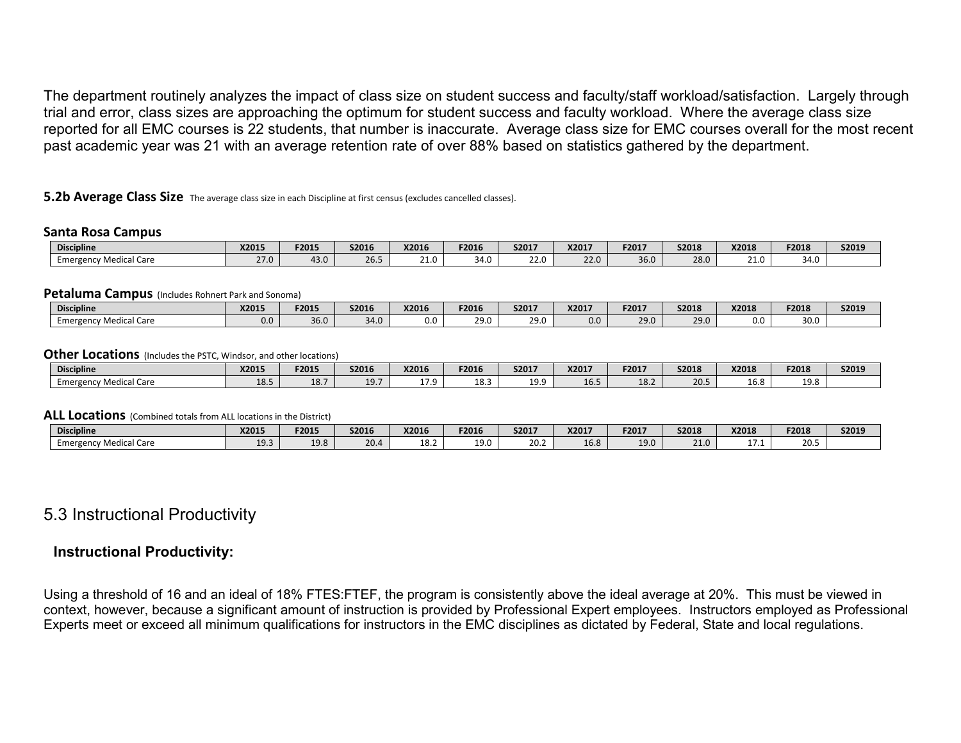The department routinely analyzes the impact of class size on student success and faculty/staff workload/satisfaction. Largely through trial and error, class sizes are approaching the optimum for student success and faculty workload. Where the average class size reported for all EMC courses is 22 students, that number is inaccurate. Average class size for EMC courses overall for the most recent past academic year was 21 with an average retention rate of over 88% based on statistics gathered by the department.

**5.2b Average Class Size** The average class size in each Discipline at first census (excludes cancelled classes).

#### **Santa Rosa Campus**

| <b>Discipline</b>                         | X2015       | F2015 | <b>S2016</b>                  | X2016    | F2016 | S2017 | X2017      | F2017 | <b>S2018</b> | X2018 | F2018                         | <b>S2019</b> |
|-------------------------------------------|-------------|-------|-------------------------------|----------|-------|-------|------------|-------|--------------|-------|-------------------------------|--------------|
| ncy Medical Care<br>Emergenc <sup>,</sup> | 270<br>27.U | 43.0  | $\sim$ $\sim$ $\sim$<br>26.5° | <u>.</u> | 34.0  | 22.0  | 22L<br>د ک | 36.0  | 28.0         | 21.0  | $\sim$ $\sim$<br>ו ב∡<br>JT.V |              |

#### **Petaluma Campus** (Includes Rohnert Park and Sonoma)

| <b>Discipline</b>                                | X2015 | F2015       | S2016 | X2016 | F2016        | S2017 | X2017 | F2017 | S2018 | X2018 | F2018        | <b>S2019</b> |
|--------------------------------------------------|-------|-------------|-------|-------|--------------|-------|-------|-------|-------|-------|--------------|--------------|
| / Medical Care<br><sub>=</sub> merg<br>ancy<br>. | 0.0   | 36 N<br>しいい | 34.0  | 0.0   | າດ ເ<br>25.U | 29.0  |       | 29.0  | 29.0  | 0.0   | 30 C<br>Jv.v |              |

#### **Other Locations** (Includes the PSTC, Windsor, and other locations)

| <b>Discipline</b>                        | X2015       | F2015 | S2016           | X2016          | F2016      | S2017     | X2017 | F2017 | S2018 | X2018                 | F2018 | S2019 |
|------------------------------------------|-------------|-------|-----------------|----------------|------------|-----------|-------|-------|-------|-----------------------|-------|-------|
| Medical Care<br>Emergency<br><b>LIIL</b> | 10F<br>10.J | 18.7  | $-10-1$<br>13.I | . <i>. .</i> . | <b>TO.</b> | ە 10<br>. | 16.5  | 18.2  | 20.5  | $\sim$ $\sim$<br>16.8 | 19.8  |       |

#### **ALL Locations** (Combined totals from ALL locations in the District)

| <b>Discipline</b>              | X2015 | F2015 | S2016 | X2016      | F2016               | S2017 | X2017 | F2017 | <b>S2018</b> | X2018 | F2018 | S2019 |
|--------------------------------|-------|-------|-------|------------|---------------------|-------|-------|-------|--------------|-------|-------|-------|
| ncy Medical Care!<br>Emergency | 10 2  | 19.8  |       | າດ<br>10.4 | 1ດ ∩<br><b>AJ.V</b> | 20.2  | 16.8  | 19.0  | 21.0         |       | 20.5  |       |

# 5.3 Instructional Productivity

### **Instructional Productivity:**

Using a threshold of 16 and an ideal of 18% FTES:FTEF, the program is consistently above the ideal average at 20%. This must be viewed in context, however, because a significant amount of instruction is provided by Professional Expert employees. Instructors employed as Professional Experts meet or exceed all minimum qualifications for instructors in the EMC disciplines as dictated by Federal, State and local regulations.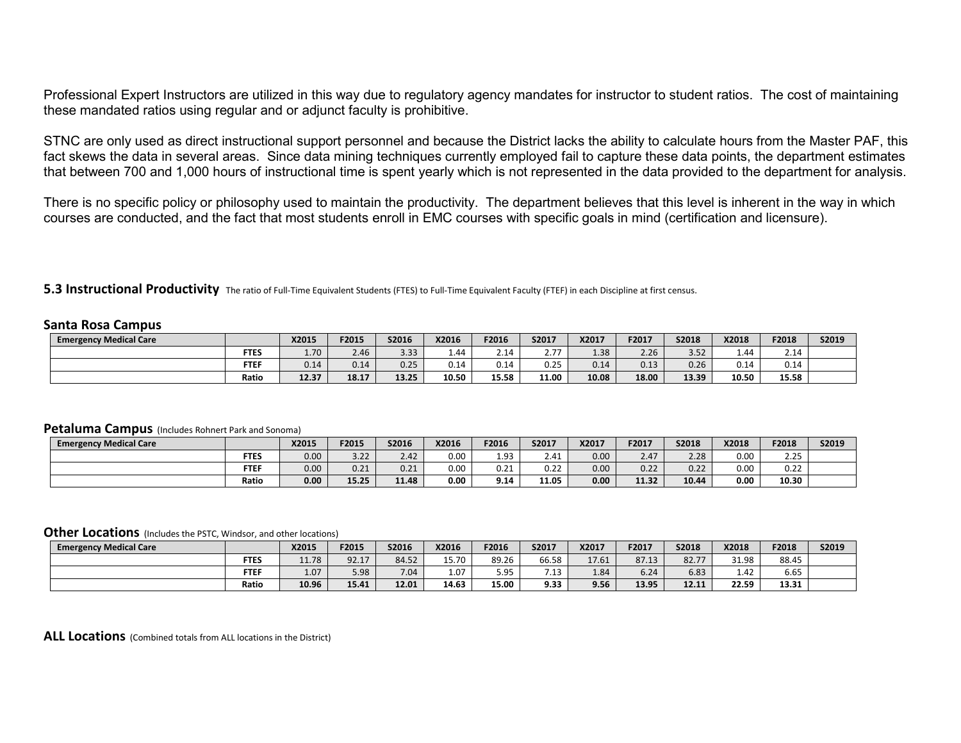Professional Expert Instructors are utilized in this way due to regulatory agency mandates for instructor to student ratios. The cost of maintaining these mandated ratios using regular and or adjunct faculty is prohibitive.

STNC are only used as direct instructional support personnel and because the District lacks the ability to calculate hours from the Master PAF, this fact skews the data in several areas. Since data mining techniques currently employed fail to capture these data points, the department estimates that between 700 and 1,000 hours of instructional time is spent yearly which is not represented in the data provided to the department for analysis.

There is no specific policy or philosophy used to maintain the productivity. The department believes that this level is inherent in the way in which courses are conducted, and the fact that most students enroll in EMC courses with specific goals in mind (certification and licensure).

**5.3 Instructional Productivity** The ratio of Full-Time Equivalent Students (FTES) to Full-Time Equivalent Faculty (FTEF) in each Discipline at first census.

#### **Santa Rosa Campus**

| <b>Emergency Medical Care</b> |             | X2015 | F2015 | S2016 | X2016 | F2016                            | S2017                                          | X2017 | F2017 | S2018 | X2018 | F2018 | S2019 |
|-------------------------------|-------------|-------|-------|-------|-------|----------------------------------|------------------------------------------------|-------|-------|-------|-------|-------|-------|
|                               | <b>FTES</b> | 1.70  | 2.46  | 3.33  | 1.44  | $\overline{\phantom{a}}$<br>2.14 | $\sim$ $\rightarrow$ $\rightarrow$<br><u>,</u> | 1.38  | 2.26  | 3.52  | 1.44  | 2.14  |       |
|                               | <b>FTEF</b> | 0.14  | 0.14  | 0.25  | 0.14  | $\sim$ 1.1<br>∪.⊥4               | 0.25                                           | 0.14  | 0.13  | 0.26  | 0.14  | 0.14  |       |
|                               | Ratio       | 12.37 | 18.17 | 13.25 | 10.50 | 15.58                            | 11.00                                          | 10.08 | 18.00 | 13.39 | 10.50 | 15.58 |       |

#### **Petaluma Campus** (Includes Rohnert Park and Sonoma)

| <b>Emergency Medical Care</b> |             | <b>X2015</b> | F2015 | S2016        | X2016 | F2016 | S2017                 | X2017 | F2017                 | S2018 | X2018 | F2018         | S2019 |
|-------------------------------|-------------|--------------|-------|--------------|-------|-------|-----------------------|-------|-----------------------|-------|-------|---------------|-------|
|                               | <b>FTES</b> | 0.00         | 3.22  | 2.42         | 0.00  | 1.93  | 2.41                  | 0.00  | 2.17<br>$2.4^{\circ}$ | 2.28  | 0.00  | חר ר<br>ر ے . |       |
|                               | <b>FTEF</b> | 0.00         | 0.21  | 0.21<br>U.ZI | 0.00  | 0.21  | $\sim$ $\sim$<br>0.ZZ | 0.00  | 0.22                  | 0.22  | 0.00  | 0.22          |       |
|                               | Ratio       | 0.00         | 15.25 | 11.48        | 0.00  | 9.14  | 11.05                 | 0.00  | 11.32                 | 10.44 | 0.00  | 10.30         |       |

#### **Other Locations** (Includes the PSTC, Windsor, and other locations)

| <b>Emergency Medical Care</b> |             | X2015 | F2015 | S2016 | X2016 | F2016 | S2017 | X2017 | F2017 | S2018 | <b>X2018</b> | F2018 | S2019 |
|-------------------------------|-------------|-------|-------|-------|-------|-------|-------|-------|-------|-------|--------------|-------|-------|
|                               | <b>FTES</b> | 11.78 | 92.17 | 84.52 | 15.70 | 89.26 | 66.58 | 17.61 | 87.13 | 82.77 | 31.98        | 88.45 |       |
|                               | <b>FTEF</b> | 1.07  | 5.98  | 7.04  | 1.07  | 5.95  | 7.42  | 1.84  | 6.24  | 6.83  | 1.42         | 6.65  |       |
|                               | Ratio       | 10.96 | 15.41 | 12.01 | 14.63 | 15.00 | 9.33  | 9.56  | 13.95 | 12.11 | 22.59        | 13.31 |       |

**ALL Locations** (Combined totals from ALL locations in the District)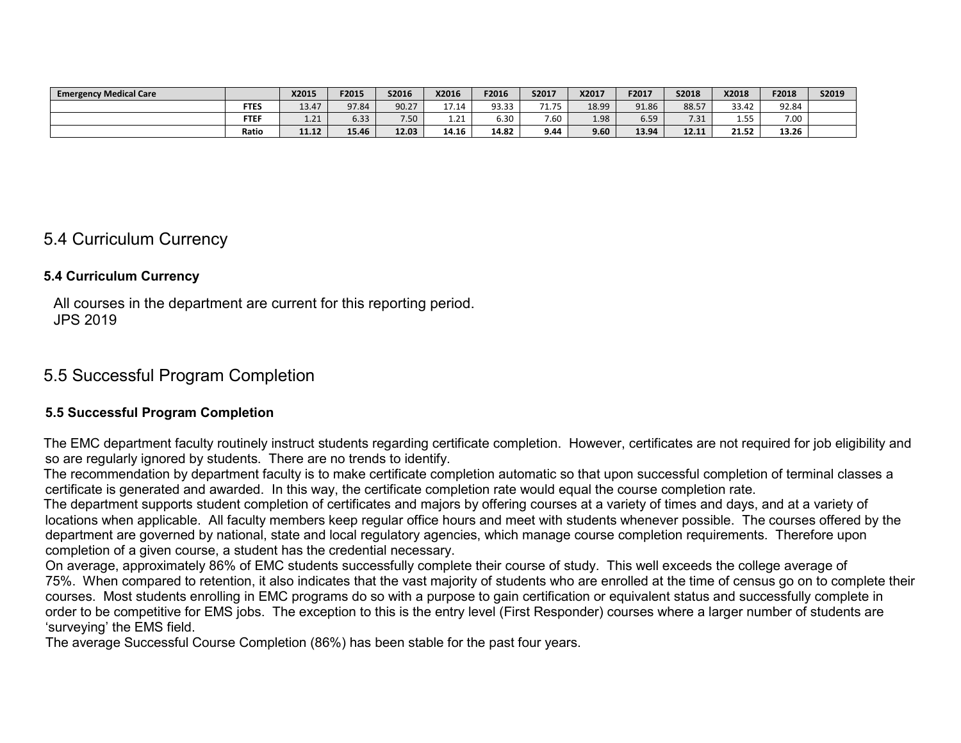| <b>Emergency Medical Care</b> |             | X2015      | F2015 | S2016        | X2016      | F2016 | S2017         | X2017 | F2017 | S2018 | X2018 | F2018 | S2019 |
|-------------------------------|-------------|------------|-------|--------------|------------|-------|---------------|-------|-------|-------|-------|-------|-------|
|                               | <b>FTES</b> | 13.47      | 97.84 | 90.27        | 1711       | 93.33 | 71 75<br>1.73 | 18.99 | 91.86 | 88.57 | 33.42 | 92.84 |       |
|                               | <b>FTEF</b> | 21<br>1.21 | 6.33  | 750<br>∍ ∪ ب | 21<br>⊥.∠⊥ | 6.30  | 7.60          | 1.98  | 6.59  | 7.31  | 1.55  | 7.00  |       |
|                               | Ratio       | 11.12      | 15.46 | 12.03        | 14.16      | 14.82 | 9.44          | 9.60  | 13.94 | 12.11 | 21.52 | 13.26 |       |

# 5.4 Curriculum Currency

### **5.4 Curriculum Currency**

All courses in the department are current for this reporting period. JPS 2019

# 5.5 Successful Program Completion

### **5.5 Successful Program Completion**

The EMC department faculty routinely instruct students regarding certificate completion. However, certificates are not required for job eligibility and so are regularly ignored by students. There are no trends to identify.

The recommendation by department faculty is to make certificate completion automatic so that upon successful completion of terminal classes a certificate is generated and awarded. In this way, the certificate completion rate would equal the course completion rate.

The department supports student completion of certificates and majors by offering courses at a variety of times and days, and at a variety of locations when applicable. All faculty members keep regular office hours and meet with students whenever possible. The courses offered by the department are governed by national, state and local regulatory agencies, which manage course completion requirements. Therefore upon completion of a given course, a student has the credential necessary.

On average, approximately 86% of EMC students successfully complete their course of study. This well exceeds the college average of 75%. When compared to retention, it also indicates that the vast majority of students who are enrolled at the time of census go on to complete their courses. Most students enrolling in EMC programs do so with a purpose to gain certification or equivalent status and successfully complete in order to be competitive for EMS jobs. The exception to this is the entry level (First Responder) courses where a larger number of students are 'surveying' the EMS field.

The average Successful Course Completion (86%) has been stable for the past four years.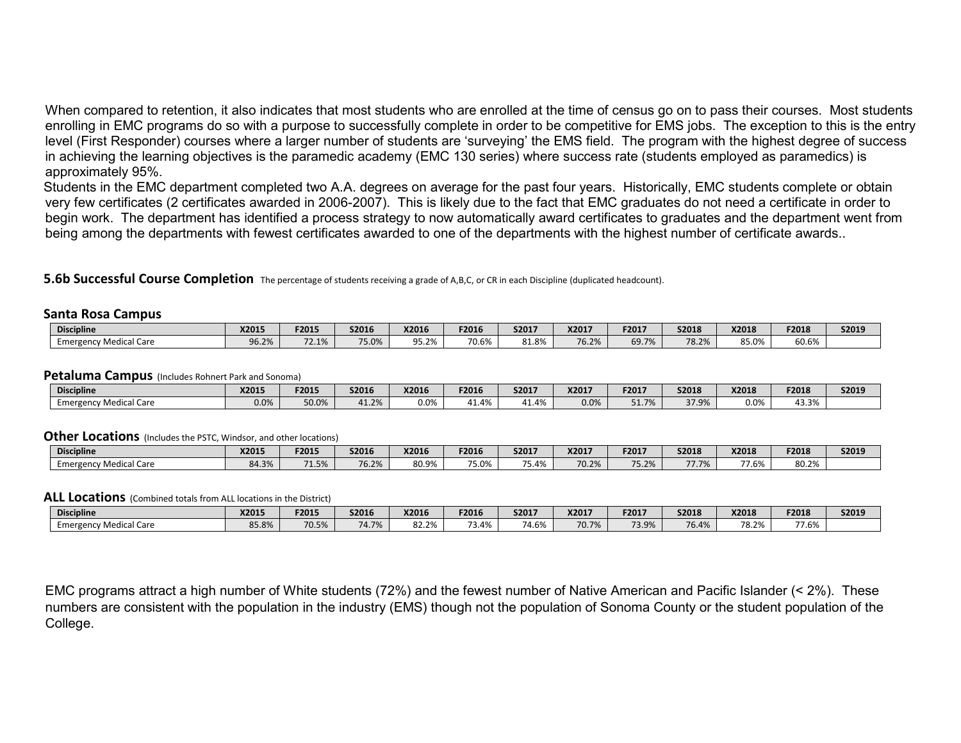When compared to retention, it also indicates that most students who are enrolled at the time of census go on to pass their courses. Most students enrolling in EMC programs do so with a purpose to successfully complete in order to be competitive for EMS jobs. The exception to this is the entry level (First Responder) courses where a larger number of students are 'surveying' the EMS field. The program with the highest degree of success in achieving the learning objectives is the paramedic academy (EMC 130 series) where success rate (students employed as paramedics) is approximately 95%.

Students in the EMC department completed two A.A. degrees on average for the past four years. Historically, EMC students complete or obtain very few certificates (2 certificates awarded in 2006-2007). This is likely due to the fact that EMC graduates do not need a certificate in order to begin work. The department has identified a process strategy to now automatically award certificates to graduates and the department went from being among the departments with fewest certificates awarded to one of the departments with the highest number of certificate awards..

**5.6b Successful Course Completion** The percentage of students receiving a grade of A,B,C, or CR in each Discipline (duplicated headcount).

#### **Santa Rosa Campus**

| <b>Discipline</b>                  | X2015           | F2015                            | <b>S2016</b>     | X2016             | F2016 | S2017 | X2017                  | F2017 | <b>S2018</b>   | X2018             | F2018 | S2019 |
|------------------------------------|-----------------|----------------------------------|------------------|-------------------|-------|-------|------------------------|-------|----------------|-------------------|-------|-------|
| <b>Aedical Care</b><br>Emergency M | $\sim$<br>96.2% | $\overline{\phantom{a}}$<br>2.1% | 75.001<br>. J.UZ | QE 70%<br>7.470 ل | 70.6% | 1.8%ء | 70.20<br><b>U.</b> 470 | 69.7% | 78.2%<br>78.Z. | $\Omega$<br>85.0% | 60.6% |       |

#### **Petaluma Campus** (Includes Rohnert Park and Sonoma)

| <b>Discipline</b>                            | X2015 | F2015 | <b>S2016</b> | X2016   | F2016 | S2017 | X2017 | F2017 | S2018                                    | <b>X2018</b> | F2018                  | <b>S201</b> 9 |
|----------------------------------------------|-------|-------|--------------|---------|-------|-------|-------|-------|------------------------------------------|--------------|------------------------|---------------|
| . Medic <sup>-</sup><br>.I Care<br>Emergency | 0.0%  | 50.0% | 41.2%        | $0.0\%$ | .4%   | 41.4% | 0.0%  | 51.7% | $\sim$ $\sim$ $\sim$ $\sim$<br>J , J , U | $0.0\%$      | $\sim$ $\sim$<br>43.3% |               |

#### **Other Locations** (Includes the PSTC, Windsor, and other locations)

| <b>Discipline</b>                             | <b>X2015</b>   | F2015         | S2016 | X2016 | F2016 | S2017 | X2017 | F2017                       | <b>S2018</b> | X2018            | F2018 | <b>S2019</b> |
|-----------------------------------------------|----------------|---------------|-------|-------|-------|-------|-------|-----------------------------|--------------|------------------|-------|--------------|
| <b>Emergency Medical Care</b><br>$\mathbf{r}$ | 0120<br>04.370 | 74.50<br>1.5% | 76.2% | 80.9% | 75.0% | 75.4% | 70.2% | $\neg r$ $\neg r'$<br>7.Z70 | 77.701       | --<br>$-$<br>.b% | 80.2% |              |

#### **ALL Locations** (Combined totals from ALL locations in the District)

| <b>Discipline</b>         | X201!                            | F2015 | S2016                 | X2016 | F2016                               | S2017 | X2017 | F2017 | S2018 | X2018                  | F2018           | S2019 |
|---------------------------|----------------------------------|-------|-----------------------|-------|-------------------------------------|-------|-------|-------|-------|------------------------|-----------------|-------|
| Medical Care<br>Emergency | O <sub>CD</sub><br><b>JJ.O70</b> | 70.5% | $7.5 - 0.7$<br>14.770 | 32.2% | $\mathcal{L}$ $\mathcal{L}$<br>(3.4 | 74.6% | 70.7% | 73.9% | 76.4% | 70 70/<br>$'$ O. $Z/0$ | $\sim$<br>7.O70 |       |

EMC programs attract a high number of White students (72%) and the fewest number of Native American and Pacific Islander (< 2%). These numbers are consistent with the population in the industry (EMS) though not the population of Sonoma County or the student population of the College.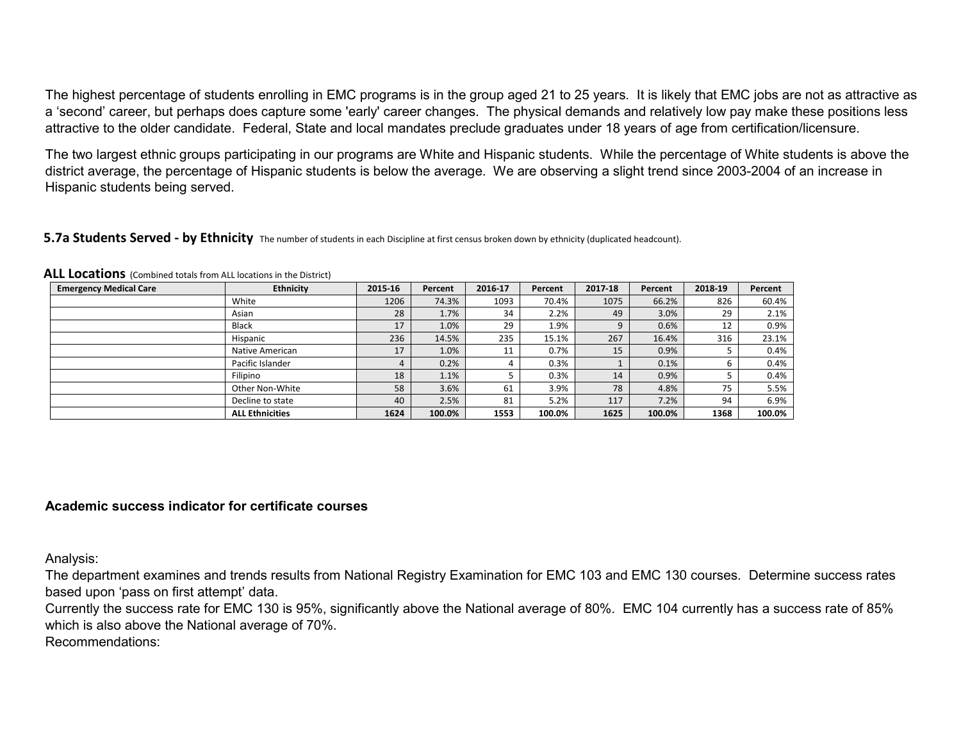The highest percentage of students enrolling in EMC programs is in the group aged 21 to 25 years. It is likely that EMC jobs are not as attractive as a 'second' career, but perhaps does capture some 'early' career changes. The physical demands and relatively low pay make these positions less attractive to the older candidate. Federal, State and local mandates preclude graduates under 18 years of age from certification/licensure.

The two largest ethnic groups participating in our programs are White and Hispanic students. While the percentage of White students is above the district average, the percentage of Hispanic students is below the average. We are observing a slight trend since 2003-2004 of an increase in Hispanic students being served.

#### **5.7a Students Served - by Ethnicity** The number of students in each Discipline at first census broken down by ethnicity (duplicated headcount).

| <b>Emergency Medical Care</b> | <b>Ethnicity</b>       | 2015-16 | Percent | 2016-17 | Percent | 2017-18 | Percent | 2018-19 | Percent |
|-------------------------------|------------------------|---------|---------|---------|---------|---------|---------|---------|---------|
|                               | White                  | 1206    | 74.3%   | 1093    | 70.4%   | 1075    | 66.2%   | 826     | 60.4%   |
|                               | Asian                  | 28      | 1.7%    | 34      | 2.2%    | 49      | 3.0%    | 29      | 2.1%    |
|                               | Black                  | 17      | 1.0%    | 29      | 1.9%    | q       | 0.6%    | 12      | 0.9%    |
|                               | Hispanic               | 236     | 14.5%   | 235     | 15.1%   | 267     | 16.4%   | 316     | 23.1%   |
|                               | Native American        | 17      | 1.0%    | 11      | 0.7%    | 15      | 0.9%    |         | 0.4%    |
|                               | Pacific Islander       |         | 0.2%    | 4       | 0.3%    |         | 0.1%    | ь       | 0.4%    |
|                               | Filipino               | 18      | 1.1%    |         | 0.3%    | 14      | 0.9%    |         | 0.4%    |
|                               | Other Non-White        | 58      | 3.6%    | 61      | 3.9%    | 78      | 4.8%    | 75      | 5.5%    |
|                               | Decline to state       | 40      | 2.5%    | 81      | 5.2%    | 117     | 7.2%    | 94      | 6.9%    |
|                               | <b>ALL Ethnicities</b> | 1624    | 100.0%  | 1553    | 100.0%  | 1625    | 100.0%  | 1368    | 100.0%  |

**ALL Locations** (Combined totals from ALL locations in the District)

### **Academic success indicator for certificate courses**

Analysis:

The department examines and trends results from National Registry Examination for EMC 103 and EMC 130 courses. Determine success rates based upon 'pass on first attempt' data.

Currently the success rate for EMC 130 is 95%, significantly above the National average of 80%. EMC 104 currently has a success rate of 85% which is also above the National average of 70%.

Recommendations: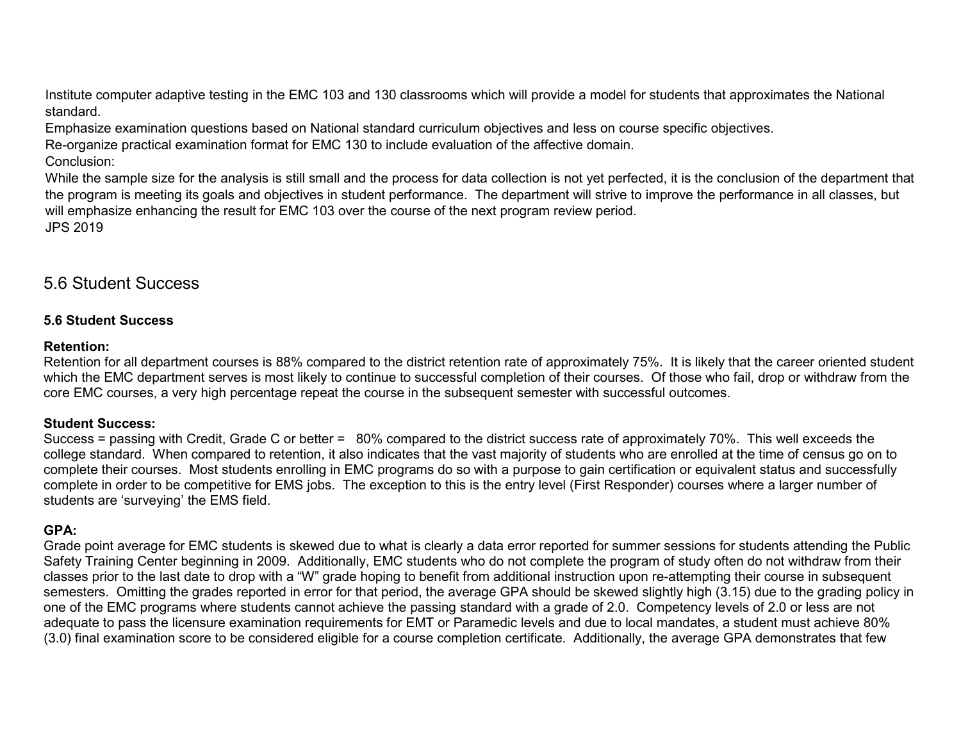Institute computer adaptive testing in the EMC 103 and 130 classrooms which will provide a model for students that approximates the National standard.

Emphasize examination questions based on National standard curriculum objectives and less on course specific objectives.

Re-organize practical examination format for EMC 130 to include evaluation of the affective domain.

Conclusion:

While the sample size for the analysis is still small and the process for data collection is not yet perfected, it is the conclusion of the department that the program is meeting its goals and objectives in student performance. The department will strive to improve the performance in all classes, but will emphasize enhancing the result for EMC 103 over the course of the next program review period. JPS 2019

# 5.6 Student Success

# **5.6 Student Success**

### **Retention:**

Retention for all department courses is 88% compared to the district retention rate of approximately 75%. It is likely that the career oriented student which the EMC department serves is most likely to continue to successful completion of their courses. Of those who fail, drop or withdraw from the core EMC courses, a very high percentage repeat the course in the subsequent semester with successful outcomes.

### **Student Success:**

Success = passing with Credit, Grade C or better = 80% compared to the district success rate of approximately 70%. This well exceeds the college standard. When compared to retention, it also indicates that the vast majority of students who are enrolled at the time of census go on to complete their courses. Most students enrolling in EMC programs do so with a purpose to gain certification or equivalent status and successfully complete in order to be competitive for EMS jobs. The exception to this is the entry level (First Responder) courses where a larger number of students are 'surveying' the EMS field.

# **GPA:**

Grade point average for EMC students is skewed due to what is clearly a data error reported for summer sessions for students attending the Public Safety Training Center beginning in 2009. Additionally, EMC students who do not complete the program of study often do not withdraw from their classes prior to the last date to drop with a "W" grade hoping to benefit from additional instruction upon re-attempting their course in subsequent semesters. Omitting the grades reported in error for that period, the average GPA should be skewed slightly high (3.15) due to the grading policy in one of the EMC programs where students cannot achieve the passing standard with a grade of 2.0. Competency levels of 2.0 or less are not adequate to pass the licensure examination requirements for EMT or Paramedic levels and due to local mandates, a student must achieve 80% (3.0) final examination score to be considered eligible for a course completion certificate. Additionally, the average GPA demonstrates that few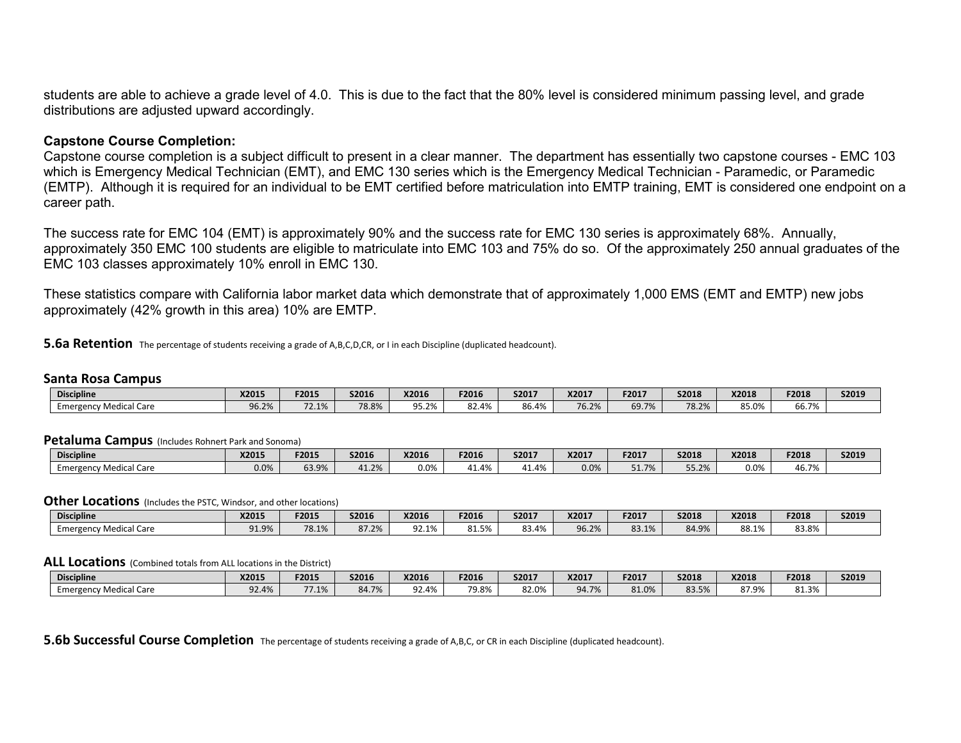students are able to achieve a grade level of 4.0. This is due to the fact that the 80% level is considered minimum passing level, and grade distributions are adjusted upward accordingly.

#### **Capstone Course Completion:**

Capstone course completion is a subject difficult to present in a clear manner. The department has essentially two capstone courses - EMC 103 which is Emergency Medical Technician (EMT), and EMC 130 series which is the Emergency Medical Technician - Paramedic, or Paramedic (EMTP). Although it is required for an individual to be EMT certified before matriculation into EMTP training, EMT is considered one endpoint on a career path.

The success rate for EMC 104 (EMT) is approximately 90% and the success rate for EMC 130 series is approximately 68%. Annually, approximately 350 EMC 100 students are eligible to matriculate into EMC 103 and 75% do so. Of the approximately 250 annual graduates of the EMC 103 classes approximately 10% enroll in EMC 130.

These statistics compare with California labor market data which demonstrate that of approximately 1,000 EMS (EMT and EMTP) new jobs approximately (42% growth in this area) 10% are EMTP.

**5.6a Retention** The percentage of students receiving a grade of A,B,C,D,CR, or I in each Discipline (duplicated headcount).

#### **Santa Rosa Campus**

| <b>Discipline</b>                         | X2015                    | F2015          | <b>S2016</b> | X2016             | F2016         | S2017 | X2017 | F2017 | \$2018                       | X2018 | F2018               | <b>S2019</b> |
|-------------------------------------------|--------------------------|----------------|--------------|-------------------|---------------|-------|-------|-------|------------------------------|-------|---------------------|--------------|
| ncv Medical Care<br>Emergenc <sup>®</sup> | 0 <sub>c</sub><br>70.Z70 | 72.1%<br>2.170 | 78.8%        | $-70/1$<br>9J.Z/0 | 22.00<br>04.4 | 86.4% | 76.2% | 69.7% | 70 70/<br>$'$ O. $\angle$ /0 | 85.0% | $\sim$ 70/<br>00.7% |              |

#### **Petaluma Campus** (Includes Rohnert Park and Sonoma)

| <b>Discipline</b>                    | X2015 | F2015 | S2016           | X2016   | F2016          | S2017 | X2017 | F2017 | <b>S2018</b>       | X2018 | F2018                   | S2019 |
|--------------------------------------|-------|-------|-----------------|---------|----------------|-------|-------|-------|--------------------|-------|-------------------------|-------|
| ncy Medical Care<br><b>Emergency</b> | 0.0%  | 63.9% | 41 7%<br>41.270 | $0.0\%$ | 11 10/<br>1.47 | 11.4% | 0.0%  | 51.7% | $F = 20$<br>JJ.Z/U | 0.0%  | $\sim$ $\sim$<br>س 46.7 |       |

#### **Other Locations** (Includes the PSTC, Windsor, and other locations)

| <b>Discipline</b>         | X2015                  | F2015 | S2016 | X2016                  | F2016          | S2017 | X2017 | F2017          | <b>S2018</b> | X2018                         | F2018 | S2019 |
|---------------------------|------------------------|-------|-------|------------------------|----------------|-------|-------|----------------|--------------|-------------------------------|-------|-------|
| Medical Care<br>Emergency | Q1 Q0'<br><b>11.9%</b> | 78.1% | 87.2% | 02.401<br>1%<br>92.I70 | 1.50<br>01.J70 | 83.4% | 96.2% | 921%<br>00.170 | 84.9%        | $\sim$ $\sim$ $\sim$<br>88.1% | 83.8% |       |

#### **ALL Locations** (Combined totals from ALL locations in the District)

| <b>Discipline</b>              | X2015                                             | F2015               | S2016 | X2016 | F2016 | S2017 | X2017             | F2017 | <b>S2018</b> | X2018               | F2018            | <b>S2019</b> |
|--------------------------------|---------------------------------------------------|---------------------|-------|-------|-------|-------|-------------------|-------|--------------|---------------------|------------------|--------------|
| .<br>1edical Care<br>Emergency | $\overline{\phantom{a}}$<br>1 U/-<br>t / 0<br>JZ. | $- - - - -$<br>1.1% | 84.7% | 92.4% | 79.8% | 82.0% | $0A$ 7%<br>$+1/0$ | 81.0% | 83.5%        | 0700/<br>.570<br>07 | 01.201<br>01.370 |              |

#### **5.6b Successful Course Completion** The percentage of students receiving a grade of A,B,C, or CR in each Discipline (duplicated headcount).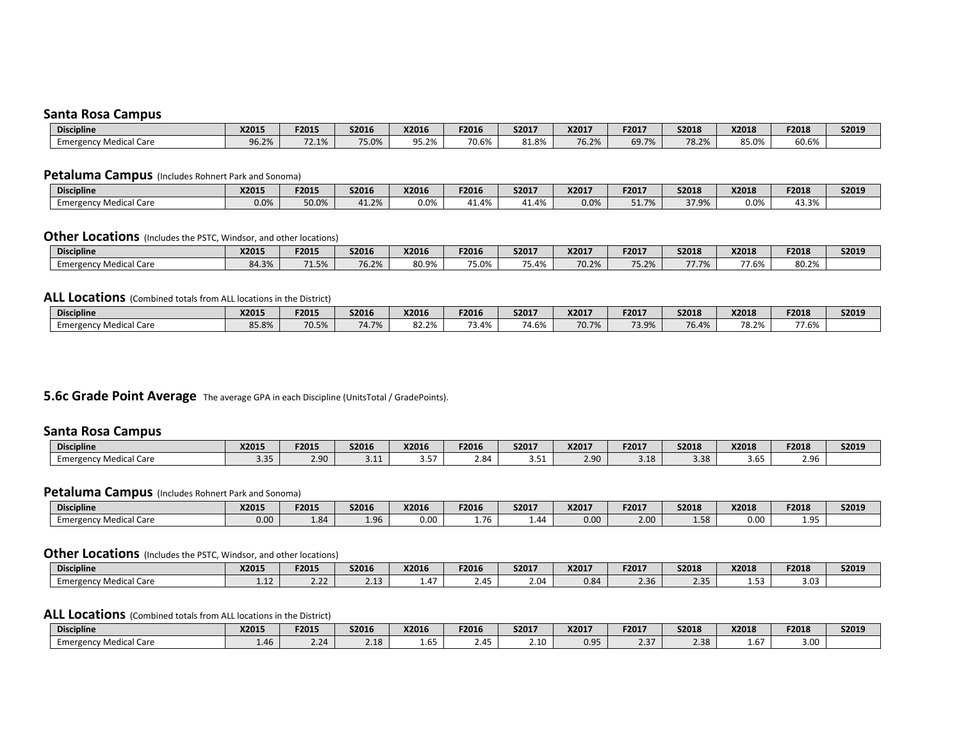#### **Santa Rosa Campus**

| <b>Discipline</b>                                            | X2015 | F2015          | S2016 | X2016 | F2016 | S2017 | X2017 | F2017 | <b>S2018</b>                 | X2018             | F2018           | S2019 |
|--------------------------------------------------------------|-------|----------------|-------|-------|-------|-------|-------|-------|------------------------------|-------------------|-----------------|-------|
| <sup>,</sup> Medical Care<br>∟mergr<br>$P_{\text{max}}$<br>. | 96.2% | 72 1%<br>72.IO | 75.0% | 95.2% | 70.6% | 81.8% | 76.2% | 69.7% | 70 70/<br>$'$ O. $\angle$ /0 | $0 - 00$<br>85.U% | $\sim$<br>60.6% |       |

#### **Petaluma Campus** (Includes Rohnert Park and Sonoma)

| <b>Discipline</b>            | X2015   | F2015 | <b>S2016</b>  | X2016   | F2016 | S2017 | X2017 | F2017                 | S2018                  | X2018 | F2018                         | S2019 |
|------------------------------|---------|-------|---------------|---------|-------|-------|-------|-----------------------|------------------------|-------|-------------------------------|-------|
| ncv Medical Care<br>Emergenc | $0.0\%$ | 50.0% | .12%<br>41.2/ | $0.0\%$ | 11.4% | 11.4% | 0.0%  | C170/<br><u>JII/U</u> | <b>OO TC</b><br>J7.J/0 | 0.0%  | 12.20<br>-4⊣<br><b>13.370</b> |       |

### **Other Locations** (Includes the PSTC, Windsor, and other locations)

| <b>Discipline</b>                | X2015                         | F2015         | <b>S2016</b>      | X2016 | F2016 | S2017          | X2017          | F2017 | <b>S2018</b>  | X2018               | F2018 | S2019 |
|----------------------------------|-------------------------------|---------------|-------------------|-------|-------|----------------|----------------|-------|---------------|---------------------|-------|-------|
| <b>1edical Care</b><br>Emergency | $\mathcal{L}$<br>oл<br>04.370 | 74.50<br>1.5% | $TC$ 30/<br>76.Z% | 80.9% | 75.0% | 75.00<br>٬5.4% | 70.20<br>∪.∠/0 | 75.2% | 77.7%<br>,,,, | $- - - - -$<br>7.6% | 80.2% |       |

#### **ALL Locations** (Combined totals from ALL locations in the District)

| <b>Discipline</b>               | X2015                      | F2015 | <b>S2016</b> | X2016           | F2016 | S2017 | X2017 | F2017 | \$2018              | X2018           | F2018            | S2019 |
|---------------------------------|----------------------------|-------|--------------|-----------------|-------|-------|-------|-------|---------------------|-----------------|------------------|-------|
| al Care<br>Medica'<br>Emergency | $OT$ $QQ$<br><b>070.CC</b> | 70.5% | 74.70/       | RJ 7%<br>32.Z70 | 73.4% | 74.6% | 70.7% | 73.9% | $\sqrt{2}$<br>76.4% | 70, 20<br>78.Z% | 77.00<br>$7.6\%$ |       |

#### **5.6c Grade Point Average** The average GPA in each Discipline (UnitsTotal / GradePoints).

#### **Santa Rosa Campus**

| <b>Discipline</b>                                              | X2015      | F2015 | <b>S2016</b> | X2016          | F2016 | S2017  | X2017 | F2017 | \$2018 | X2018      | F2018    | S2019 |
|----------------------------------------------------------------|------------|-------|--------------|----------------|-------|--------|-------|-------|--------|------------|----------|-------|
| <sup>,</sup> Medical Care<br>⊧mergı<br>2001<br>ancal Care<br>. | --<br>し・コー | .90   | し・エエ         | $ -$<br>، س. س | .84   | $\sim$ | 2.90  | 3.18  | 3.38   | --<br>3.b. | י י<br>. |       |

#### **Petaluma Campus** (Includes Rohnert Park and Sonoma)

| <b>Discipline</b>         | X2015 | F2015 | <b>S2016</b> | X2016 | F2016                   | S2017                       | X2017 | F2017 | <b>S2018</b> | X2018 | F2018           | S2019 |
|---------------------------|-------|-------|--------------|-------|-------------------------|-----------------------------|-------|-------|--------------|-------|-----------------|-------|
| Aedical Care<br>Emergency | 0.00  | 1.84  | ---          | 0.00  | $ \overline{ }$<br>1.76 | $\overline{a}$<br>$\pm .44$ | 0.00  | 2.00  | -30 ه        | 0.00  | $\Omega$<br>∸…… |       |

#### **Other Locations** (Includes the PSTC, Windsor, and other locations)

| <b>Discipline</b>                    | X2015                         | <b>F2015</b>              | <b>S2016</b>            | X2016              | F2016 | S2017 | X2017 | F2017 | S2018          | X2018            | F2018 | <b>S2019</b> |
|--------------------------------------|-------------------------------|---------------------------|-------------------------|--------------------|-------|-------|-------|-------|----------------|------------------|-------|--------------|
| aical Care<br>,Medica',<br>Emergency | $\overline{\phantom{0}}$<br>. | $\sim$ 0.0 $\sim$<br>ے ۔۔ | $\overline{a}$<br>- - - | $\sim$<br>$\pm .4$ | 2.45  | 2.04  | 0.84  | 2.36  | 2F<br><u>.</u> | <u>.</u><br>⊥.J. | 3.03  |              |

### **ALL Locations** (Combined totals from ALL locations in the District)

| <b>Discipline</b>               | X2015 | F2015 | <b>S2016</b> | X2016       | F2016        | S2017 | X2017 | F2017         | S2018 | X2018             | F2018 | S2019 |
|---------------------------------|-------|-------|--------------|-------------|--------------|-------|-------|---------------|-------|-------------------|-------|-------|
| eal Care "<br>Emergency<br>Medi |       | 21    | 2.18         | - -<br>ت∪.⊾ | $\sim$<br>⊿~ | 2.10  | 0.95  | דר ר<br>، د.ء | 2.38  | $\sim$<br>$\pm 0$ | 3.00  |       |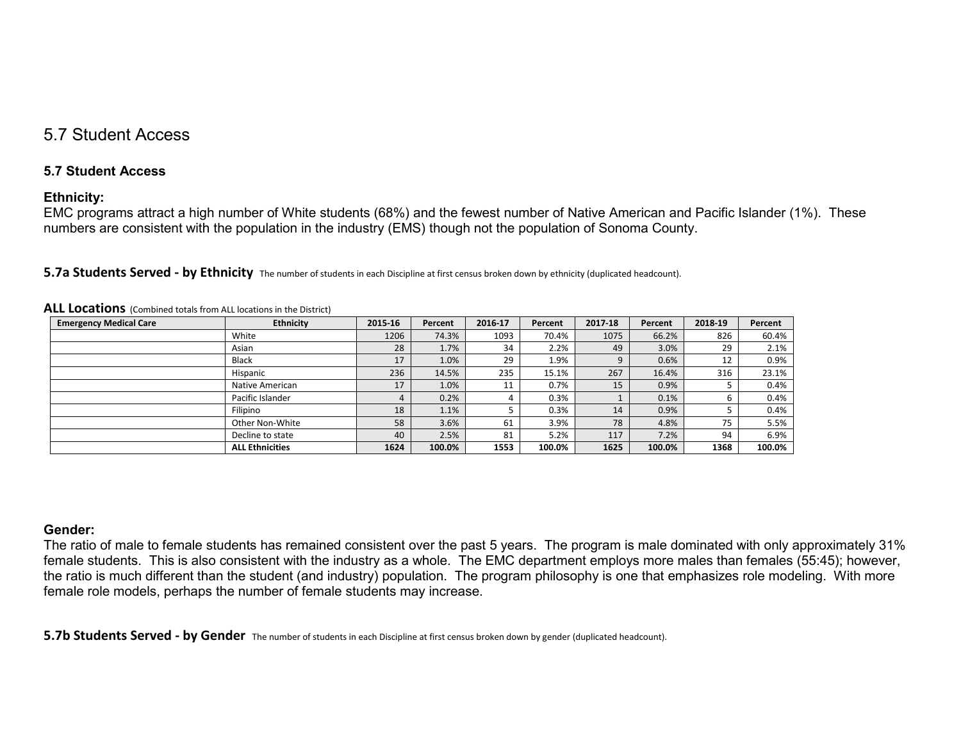# 5.7 Student Access

### **5.7 Student Access**

### **Ethnicity:**

EMC programs attract a high number of White students (68%) and the fewest number of Native American and Pacific Islander (1%). These numbers are consistent with the population in the industry (EMS) though not the population of Sonoma County.

| ALL Locations (Combined totals from ALL locations in the District) |                        |         |         |         |         |         |         |         |         |
|--------------------------------------------------------------------|------------------------|---------|---------|---------|---------|---------|---------|---------|---------|
| <b>Emergency Medical Care</b>                                      | <b>Ethnicity</b>       | 2015-16 | Percent | 2016-17 | Percent | 2017-18 | Percent | 2018-19 | Percent |
|                                                                    | White                  | 1206    | 74.3%   | 1093    | 70.4%   | 1075    | 66.2%   | 826     | 60.4%   |
|                                                                    | Asian                  | 28      | 1.7%    | 34      | 2.2%    | 49      | 3.0%    | 29      | 2.1%    |
|                                                                    | <b>Black</b>           | 17      | 1.0%    | 29      | 1.9%    | 9       | 0.6%    | 12      | 0.9%    |
|                                                                    | Hispanic               | 236     | 14.5%   | 235     | 15.1%   | 267     | 16.4%   | 316     | 23.1%   |
|                                                                    | Native American        | 17      | 1.0%    | 11      | 0.7%    | 15      | 0.9%    |         | 0.4%    |
|                                                                    | Pacific Islander       | 4       | 0.2%    |         | 0.3%    |         | 0.1%    | b       | 0.4%    |
|                                                                    | Filipino               | 18      | 1.1%    |         | 0.3%    | 14      | 0.9%    |         | 0.4%    |
|                                                                    | Other Non-White        | 58      | 3.6%    | 61      | 3.9%    | 78      | 4.8%    | 75      | 5.5%    |
|                                                                    | Decline to state       | 40      | 2.5%    | 81      | 5.2%    | 117     | 7.2%    | 94      | 6.9%    |
|                                                                    | <b>ALL Ethnicities</b> | 1624    | 100.0%  | 1553    | 100.0%  | 1625    | 100.0%  | 1368    | 100.0%  |

**5.7a Students Served - by Ethnicity** The number of students in each Discipline at first census broken down by ethnicity (duplicated headcount).

### **Gender:**

The ratio of male to female students has remained consistent over the past 5 years. The program is male dominated with only approximately 31% female students. This is also consistent with the industry as a whole. The EMC department employs more males than females (55:45); however, the ratio is much different than the student (and industry) population. The program philosophy is one that emphasizes role modeling. With more female role models, perhaps the number of female students may increase.

**5.7b Students Served - by Gender** The number of students in each Discipline at first census broken down by gender (duplicated headcount).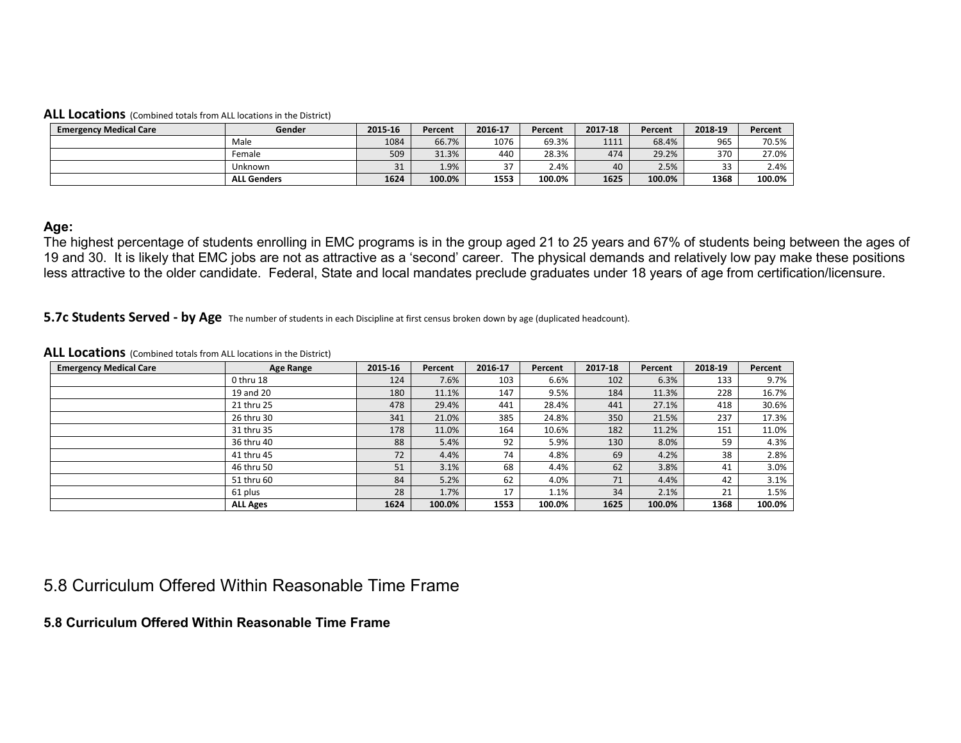#### **ALL Locations** (Combined totals from ALL locations in the District)

| <b>Emergency Medical Care</b> | Gender             | 2015-16             | Percent | 2016-17 | Percent | 2017-18 | Percent | 2018-19 | Percent |
|-------------------------------|--------------------|---------------------|---------|---------|---------|---------|---------|---------|---------|
|                               | Male               | 1084                | 66.7%   | 1076    | 69.3%   | 1111    | 68.4%   | 965     | 70.5%   |
|                               | Female             | 509                 | 31.3%   | 440     | 28.3%   | 474     | 29.2%   | 370     | 27.0%   |
|                               | Jnknown            | $\mathbf{a}$<br>ـ ر | 1.9%    | 37      | 2.4%    | 40      | 2.5%    | 33      | 2.4%    |
|                               | <b>ALL Genders</b> | 1624                | 100.0%  | 1553    | 100.0%  | 1625    | 100.0%  | 1368    | 100.0%  |

#### **Age:**

The highest percentage of students enrolling in EMC programs is in the group aged 21 to 25 years and 67% of students being between the ages of 19 and 30. It is likely that EMC jobs are not as attractive as a 'second' career. The physical demands and relatively low pay make these positions less attractive to the older candidate. Federal, State and local mandates preclude graduates under 18 years of age from certification/licensure.

#### **5.7c Students Served - by Age** The number of students in each Discipline at first census broken down by age (duplicated headcount).

#### **ALL Locations** (Combined totals from ALL locations in the District)

| <b>Emergency Medical Care</b> | Age Range       | 2015-16 | Percent | 2016-17 | Percent | 2017-18 | Percent | 2018-19 | Percent |
|-------------------------------|-----------------|---------|---------|---------|---------|---------|---------|---------|---------|
|                               | 0 thru 18       | 124     | 7.6%    | 103     | 6.6%    | 102     | 6.3%    | 133     | 9.7%    |
|                               | 19 and 20       | 180     | 11.1%   | 147     | 9.5%    | 184     | 11.3%   | 228     | 16.7%   |
|                               | 21 thru 25      | 478     | 29.4%   | 441     | 28.4%   | 441     | 27.1%   | 418     | 30.6%   |
|                               | 26 thru 30      | 341     | 21.0%   | 385     | 24.8%   | 350     | 21.5%   | 237     | 17.3%   |
|                               | 31 thru 35      | 178     | 11.0%   | 164     | 10.6%   | 182     | 11.2%   | 151     | 11.0%   |
|                               | 36 thru 40      | 88      | 5.4%    | 92      | 5.9%    | 130     | 8.0%    | 59      | 4.3%    |
|                               | 41 thru 45      | 72      | 4.4%    | 74      | 4.8%    | 69      | 4.2%    | 38      | 2.8%    |
|                               | 46 thru 50      | 51      | 3.1%    | 68      | 4.4%    | 62      | 3.8%    | 41      | 3.0%    |
|                               | 51 thru 60      | 84      | 5.2%    | 62      | 4.0%    | 71      | 4.4%    | 42      | 3.1%    |
|                               | 61 plus         | 28      | 1.7%    | 17      | 1.1%    | 34      | 2.1%    | 21      | 1.5%    |
|                               | <b>ALL Ages</b> | 1624    | 100.0%  | 1553    | 100.0%  | 1625    | 100.0%  | 1368    | 100.0%  |

# 5.8 Curriculum Offered Within Reasonable Time Frame

### **5.8 Curriculum Offered Within Reasonable Time Frame**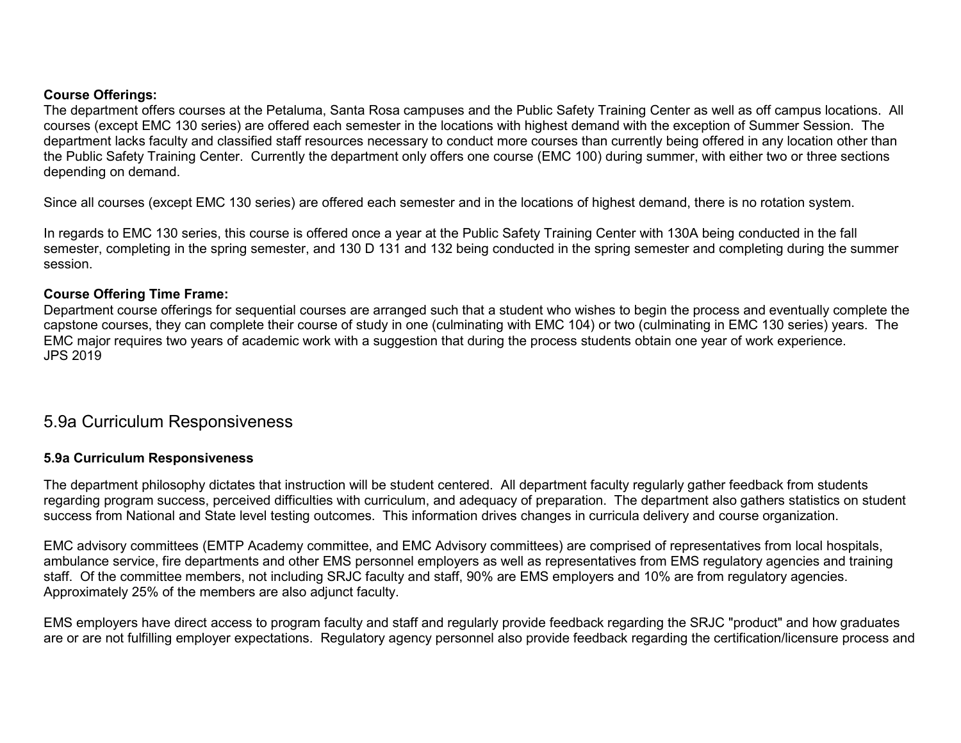### **Course Offerings:**

The department offers courses at the Petaluma, Santa Rosa campuses and the Public Safety Training Center as well as off campus locations. All courses (except EMC 130 series) are offered each semester in the locations with highest demand with the exception of Summer Session. The department lacks faculty and classified staff resources necessary to conduct more courses than currently being offered in any location other than the Public Safety Training Center. Currently the department only offers one course (EMC 100) during summer, with either two or three sections depending on demand.

Since all courses (except EMC 130 series) are offered each semester and in the locations of highest demand, there is no rotation system.

In regards to EMC 130 series, this course is offered once a year at the Public Safety Training Center with 130A being conducted in the fall semester, completing in the spring semester, and 130 D 131 and 132 being conducted in the spring semester and completing during the summer session.

### **Course Offering Time Frame:**

Department course offerings for sequential courses are arranged such that a student who wishes to begin the process and eventually complete the capstone courses, they can complete their course of study in one (culminating with EMC 104) or two (culminating in EMC 130 series) years. The EMC major requires two years of academic work with a suggestion that during the process students obtain one year of work experience. JPS 2019

# 5.9a Curriculum Responsiveness

### **5.9a Curriculum Responsiveness**

The department philosophy dictates that instruction will be student centered. All department faculty regularly gather feedback from students regarding program success, perceived difficulties with curriculum, and adequacy of preparation. The department also gathers statistics on student success from National and State level testing outcomes. This information drives changes in curricula delivery and course organization.

EMC advisory committees (EMTP Academy committee, and EMC Advisory committees) are comprised of representatives from local hospitals, ambulance service, fire departments and other EMS personnel employers as well as representatives from EMS regulatory agencies and training staff. Of the committee members, not including SRJC faculty and staff, 90% are EMS employers and 10% are from regulatory agencies. Approximately 25% of the members are also adjunct faculty.

EMS employers have direct access to program faculty and staff and regularly provide feedback regarding the SRJC "product" and how graduates are or are not fulfilling employer expectations. Regulatory agency personnel also provide feedback regarding the certification/licensure process and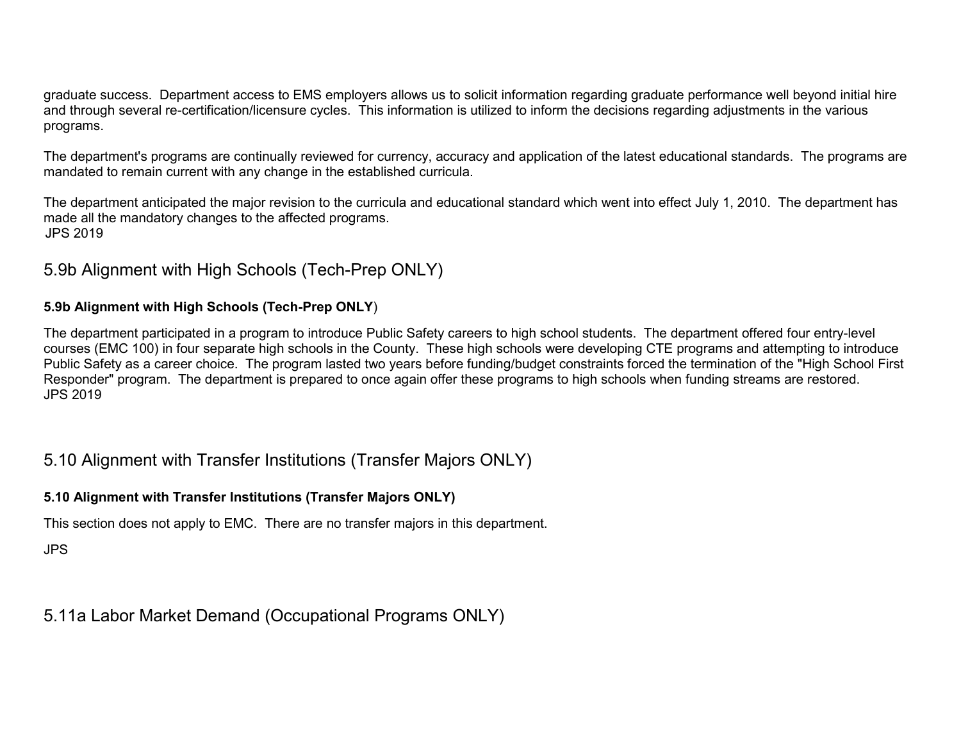graduate success. Department access to EMS employers allows us to solicit information regarding graduate performance well beyond initial hire and through several re-certification/licensure cycles. This information is utilized to inform the decisions regarding adjustments in the various programs.

The department's programs are continually reviewed for currency, accuracy and application of the latest educational standards. The programs are mandated to remain current with any change in the established curricula.

The department anticipated the major revision to the curricula and educational standard which went into effect July 1, 2010. The department has made all the mandatory changes to the affected programs. JPS 2019

# 5.9b Alignment with High Schools (Tech-Prep ONLY)

# **5.9b Alignment with High Schools (Tech-Prep ONLY**)

The department participated in a program to introduce Public Safety careers to high school students. The department offered four entry-level courses (EMC 100) in four separate high schools in the County. These high schools were developing CTE programs and attempting to introduce Public Safety as a career choice. The program lasted two years before funding/budget constraints forced the termination of the "High School First Responder" program. The department is prepared to once again offer these programs to high schools when funding streams are restored. JPS 2019

# 5.10 Alignment with Transfer Institutions (Transfer Majors ONLY)

# **5.10 Alignment with Transfer Institutions (Transfer Majors ONLY)**

This section does not apply to EMC. There are no transfer majors in this department.

JPS

# 5.11a Labor Market Demand (Occupational Programs ONLY)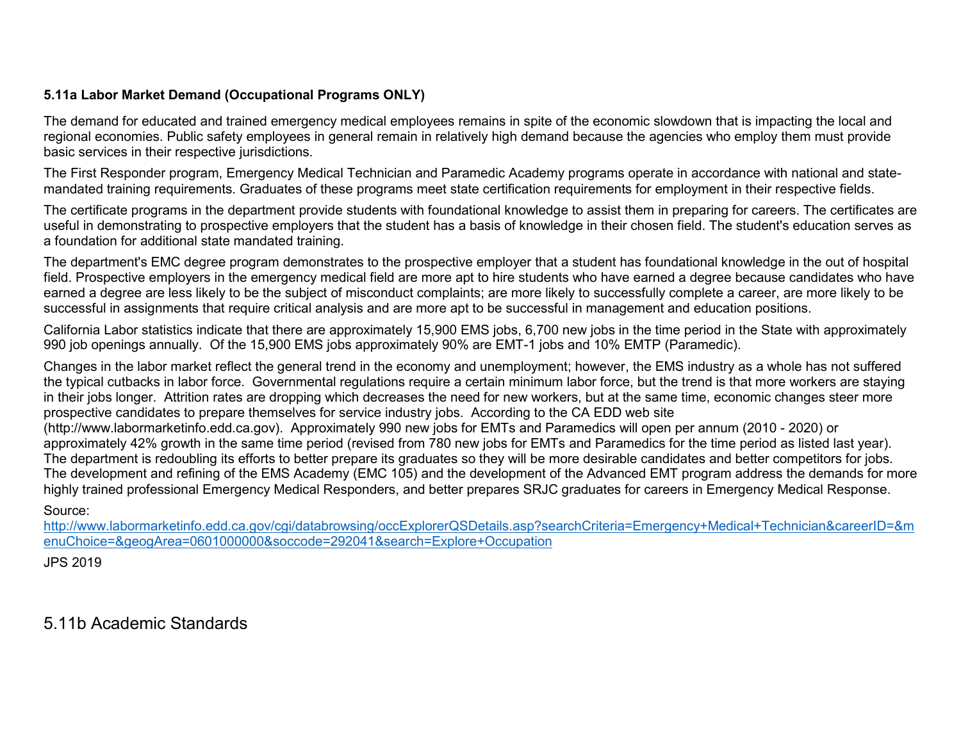# **5.11a Labor Market Demand (Occupational Programs ONLY)**

The demand for educated and trained emergency medical employees remains in spite of the economic slowdown that is impacting the local and regional economies. Public safety employees in general remain in relatively high demand because the agencies who employ them must provide basic services in their respective jurisdictions.

The First Responder program, Emergency Medical Technician and Paramedic Academy programs operate in accordance with national and statemandated training requirements. Graduates of these programs meet state certification requirements for employment in their respective fields.

The certificate programs in the department provide students with foundational knowledge to assist them in preparing for careers. The certificates are useful in demonstrating to prospective employers that the student has a basis of knowledge in their chosen field. The student's education serves as a foundation for additional state mandated training.

The department's EMC degree program demonstrates to the prospective employer that a student has foundational knowledge in the out of hospital field. Prospective employers in the emergency medical field are more apt to hire students who have earned a degree because candidates who have earned a degree are less likely to be the subject of misconduct complaints; are more likely to successfully complete a career, are more likely to be successful in assignments that require critical analysis and are more apt to be successful in management and education positions.

California Labor statistics indicate that there are approximately 15,900 EMS jobs, 6,700 new jobs in the time period in the State with approximately 990 job openings annually. Of the 15,900 EMS jobs approximately 90% are EMT-1 jobs and 10% EMTP (Paramedic).

Changes in the labor market reflect the general trend in the economy and unemployment; however, the EMS industry as a whole has not suffered the typical cutbacks in labor force. Governmental regulations require a certain minimum labor force, but the trend is that more workers are staying in their jobs longer. Attrition rates are dropping which decreases the need for new workers, but at the same time, economic changes steer more prospective candidates to prepare themselves for service industry jobs. According to the CA EDD web site

(http://www.labormarketinfo.edd.ca.gov). Approximately 990 new jobs for EMTs and Paramedics will open per annum (2010 - 2020) or approximately 42% growth in the same time period (revised from 780 new jobs for EMTs and Paramedics for the time period as listed last year). The department is redoubling its efforts to better prepare its graduates so they will be more desirable candidates and better competitors for jobs. The development and refining of the EMS Academy (EMC 105) and the development of the Advanced EMT program address the demands for more highly trained professional Emergency Medical Responders, and better prepares SRJC graduates for careers in Emergency Medical Response.

Source:

[http://www.labormarketinfo.edd.ca.gov/cgi/databrowsing/occExplorerQSDetails.asp?searchCriteria=Emergency+Medical+Technician&careerID=&m](http://www.labormarketinfo.edd.ca.gov/cgi/databrowsing/occExplorerQSDetails.asp?searchCriteria=Emergency+Medical+Technician&careerID=&menuChoice=&geogArea=0601000000&soccode=292041&search=Explore+Occupation) [enuChoice=&geogArea=0601000000&soccode=292041&search=Explore+Occupation](http://www.labormarketinfo.edd.ca.gov/cgi/databrowsing/occExplorerQSDetails.asp?searchCriteria=Emergency+Medical+Technician&careerID=&menuChoice=&geogArea=0601000000&soccode=292041&search=Explore+Occupation)

JPS 2019

5.11b Academic Standards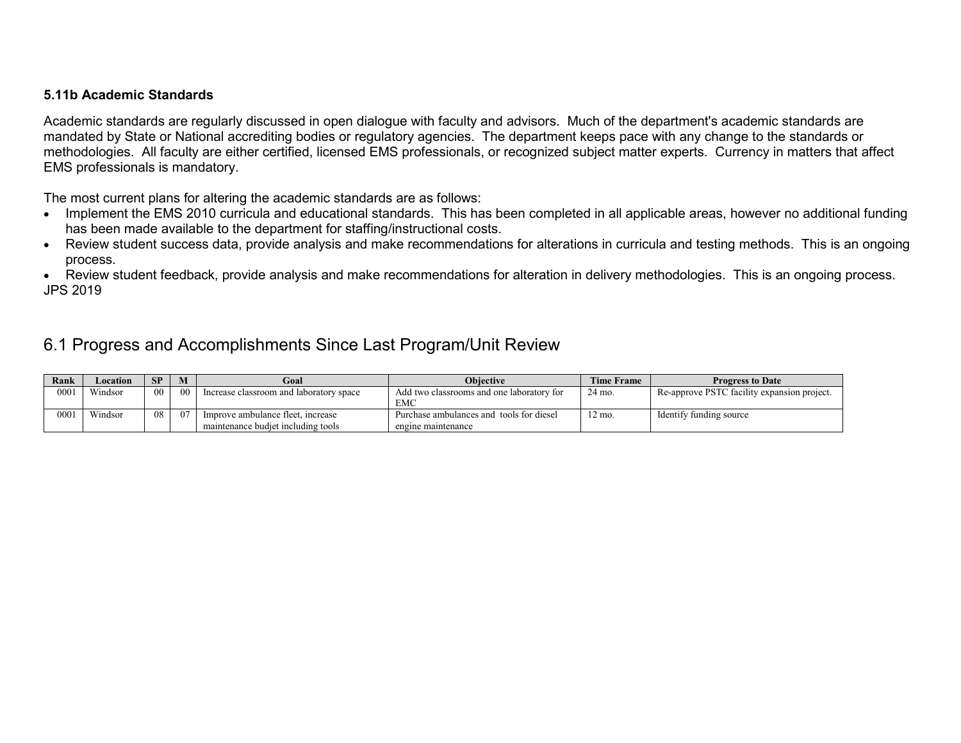### **5.11b Academic Standards**

Academic standards are regularly discussed in open dialogue with faculty and advisors. Much of the department's academic standards are mandated by State or National accrediting bodies or regulatory agencies. The department keeps pace with any change to the standards or methodologies. All faculty are either certified, licensed EMS professionals, or recognized subject matter experts. Currency in matters that affect EMS professionals is mandatory.

The most current plans for altering the academic standards are as follows:

- Implement the EMS 2010 curricula and educational standards. This has been completed in all applicable areas, however no additional funding has been made available to the department for staffing/instructional costs.
- Review student success data, provide analysis and make recommendations for alterations in curricula and testing methods. This is an ongoing process.

• Review student feedback, provide analysis and make recommendations for alteration in delivery methodologies. This is an ongoing process. JPS 2019

# 6.1 Progress and Accomplishments Since Last Program/Unit Review

| Rank | Location | <b>SP</b>       | M               | Goal                                                                    | <b>Obiective</b>                                               | <b>Time Frame</b> | <b>Progress to Date</b>                     |
|------|----------|-----------------|-----------------|-------------------------------------------------------------------------|----------------------------------------------------------------|-------------------|---------------------------------------------|
| 0001 | Windsor  | 00 <sup>2</sup> | 00 <sup>°</sup> | Increase classroom and laboratory space                                 | Add two classrooms and one laboratory for<br><b>EMC</b>        | 24 mo.            | Re-approve PSTC facility expansion project. |
| 0001 | Windsor  | 08              | 07              | Improve ambulance fleet, increase<br>maintenance budiet including tools | Purchase ambulances and tools for diesel<br>engine maintenance | 12 mo.            | Identify funding source                     |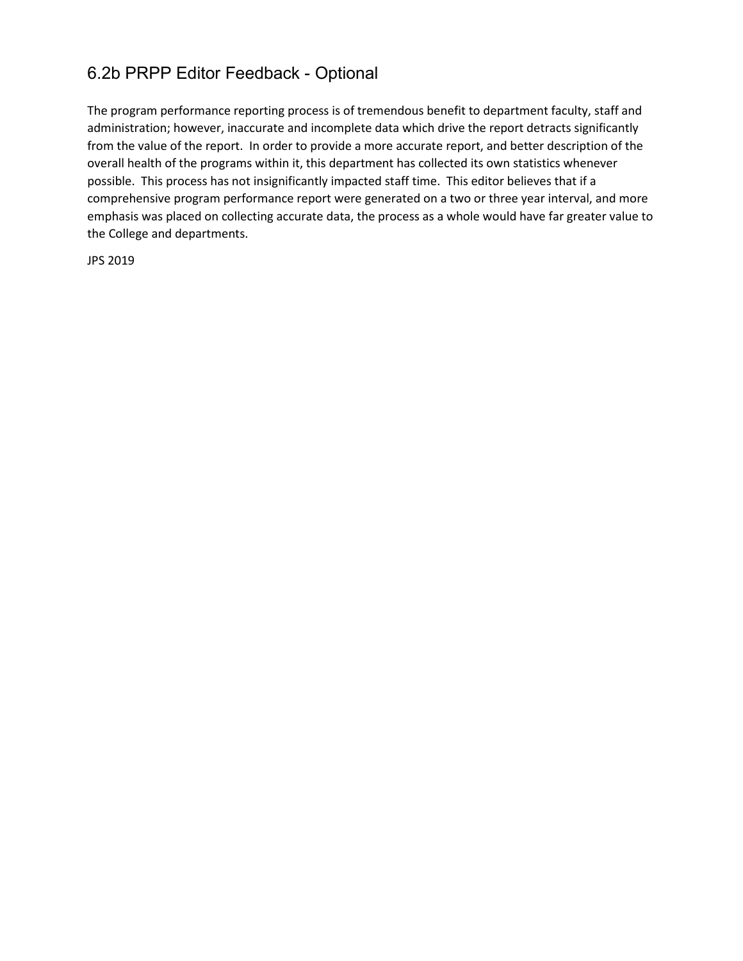# 6.2b PRPP Editor Feedback - Optional

The program performance reporting process is of tremendous benefit to department faculty, staff and administration; however, inaccurate and incomplete data which drive the report detracts significantly from the value of the report. In order to provide a more accurate report, and better description of the overall health of the programs within it, this department has collected its own statistics whenever possible. This process has not insignificantly impacted staff time. This editor believes that if a comprehensive program performance report were generated on a two or three year interval, and more emphasis was placed on collecting accurate data, the process as a whole would have far greater value to the College and departments.

JPS 2019